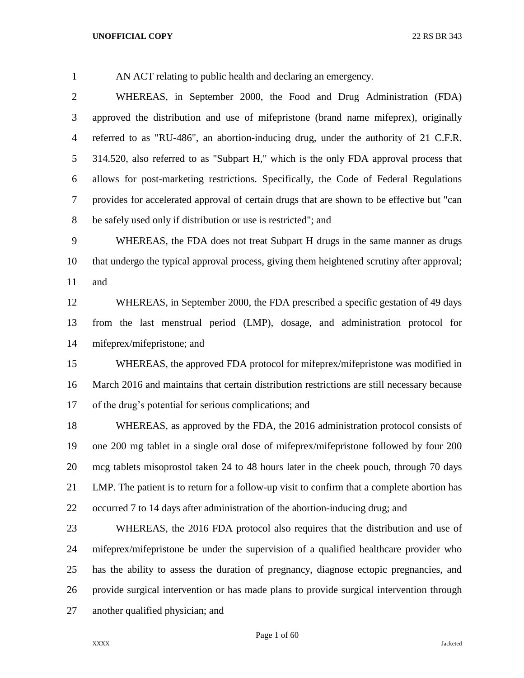AN ACT relating to public health and declaring an emergency.

 WHEREAS, in September 2000, the Food and Drug Administration (FDA) approved the distribution and use of mifepristone (brand name mifeprex), originally referred to as "RU-486", an abortion-inducing drug, under the authority of 21 C.F.R. 314.520, also referred to as "Subpart H," which is the only FDA approval process that allows for post-marketing restrictions. Specifically, the Code of Federal Regulations provides for accelerated approval of certain drugs that are shown to be effective but "can be safely used only if distribution or use is restricted"; and

 WHEREAS, the FDA does not treat Subpart H drugs in the same manner as drugs that undergo the typical approval process, giving them heightened scrutiny after approval; and

 WHEREAS, in September 2000, the FDA prescribed a specific gestation of 49 days from the last menstrual period (LMP), dosage, and administration protocol for mifeprex/mifepristone; and

 WHEREAS, the approved FDA protocol for mifeprex/mifepristone was modified in March 2016 and maintains that certain distribution restrictions are still necessary because of the drug's potential for serious complications; and

 WHEREAS, as approved by the FDA, the 2016 administration protocol consists of one 200 mg tablet in a single oral dose of mifeprex/mifepristone followed by four 200 mcg tablets misoprostol taken 24 to 48 hours later in the cheek pouch, through 70 days LMP. The patient is to return for a follow-up visit to confirm that a complete abortion has occurred 7 to 14 days after administration of the abortion-inducing drug; and

 WHEREAS, the 2016 FDA protocol also requires that the distribution and use of mifeprex/mifepristone be under the supervision of a qualified healthcare provider who has the ability to assess the duration of pregnancy, diagnose ectopic pregnancies, and provide surgical intervention or has made plans to provide surgical intervention through another qualified physician; and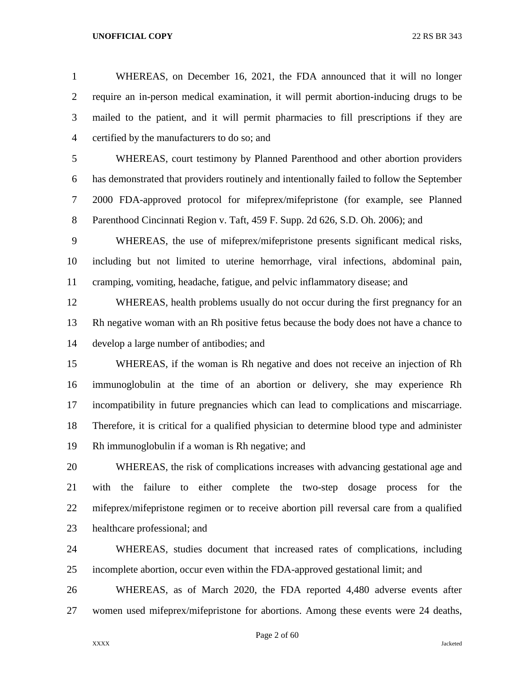WHEREAS, on December 16, 2021, the FDA announced that it will no longer require an in-person medical examination, it will permit abortion-inducing drugs to be mailed to the patient, and it will permit pharmacies to fill prescriptions if they are certified by the manufacturers to do so; and

 WHEREAS, court testimony by Planned Parenthood and other abortion providers has demonstrated that providers routinely and intentionally failed to follow the September 2000 FDA-approved protocol for mifeprex/mifepristone (for example, see Planned Parenthood Cincinnati Region v. Taft, 459 F. Supp. 2d 626, S.D. Oh. 2006); and

 WHEREAS, the use of mifeprex/mifepristone presents significant medical risks, including but not limited to uterine hemorrhage, viral infections, abdominal pain, cramping, vomiting, headache, fatigue, and pelvic inflammatory disease; and

 WHEREAS, health problems usually do not occur during the first pregnancy for an Rh negative woman with an Rh positive fetus because the body does not have a chance to develop a large number of antibodies; and

 WHEREAS, if the woman is Rh negative and does not receive an injection of Rh immunoglobulin at the time of an abortion or delivery, she may experience Rh incompatibility in future pregnancies which can lead to complications and miscarriage. Therefore, it is critical for a qualified physician to determine blood type and administer Rh immunoglobulin if a woman is Rh negative; and

 WHEREAS, the risk of complications increases with advancing gestational age and with the failure to either complete the two-step dosage process for the mifeprex/mifepristone regimen or to receive abortion pill reversal care from a qualified healthcare professional; and

 WHEREAS, studies document that increased rates of complications, including incomplete abortion, occur even within the FDA-approved gestational limit; and

 WHEREAS, as of March 2020, the FDA reported 4,480 adverse events after women used mifeprex/mifepristone for abortions. Among these events were 24 deaths,

Page 2 of 60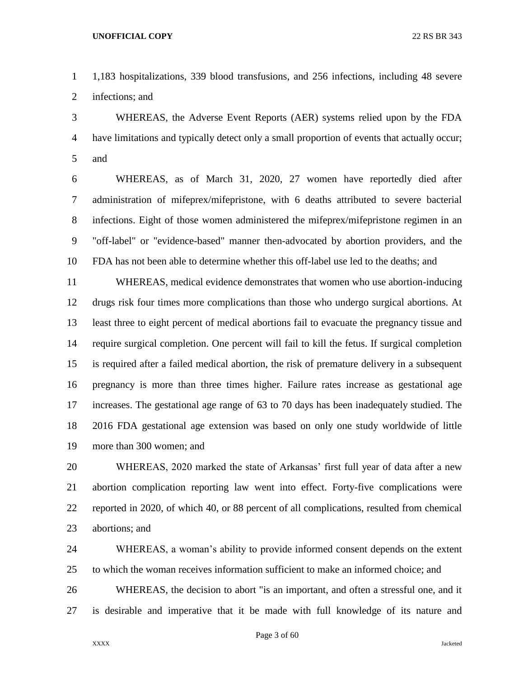1,183 hospitalizations, 339 blood transfusions, and 256 infections, including 48 severe infections; and

 WHEREAS, the Adverse Event Reports (AER) systems relied upon by the FDA have limitations and typically detect only a small proportion of events that actually occur; and

 WHEREAS, as of March 31, 2020, 27 women have reportedly died after administration of mifeprex/mifepristone, with 6 deaths attributed to severe bacterial infections. Eight of those women administered the mifeprex/mifepristone regimen in an "off-label" or "evidence-based" manner then-advocated by abortion providers, and the FDA has not been able to determine whether this off-label use led to the deaths; and

 WHEREAS, medical evidence demonstrates that women who use abortion-inducing drugs risk four times more complications than those who undergo surgical abortions. At least three to eight percent of medical abortions fail to evacuate the pregnancy tissue and require surgical completion. One percent will fail to kill the fetus. If surgical completion is required after a failed medical abortion, the risk of premature delivery in a subsequent pregnancy is more than three times higher. Failure rates increase as gestational age increases. The gestational age range of 63 to 70 days has been inadequately studied. The 2016 FDA gestational age extension was based on only one study worldwide of little more than 300 women; and

 WHEREAS, 2020 marked the state of Arkansas' first full year of data after a new abortion complication reporting law went into effect. Forty-five complications were reported in 2020, of which 40, or 88 percent of all complications, resulted from chemical abortions; and

 WHEREAS, a woman's ability to provide informed consent depends on the extent to which the woman receives information sufficient to make an informed choice; and

 WHEREAS, the decision to abort "is an important, and often a stressful one, and it is desirable and imperative that it be made with full knowledge of its nature and

Page 3 of 60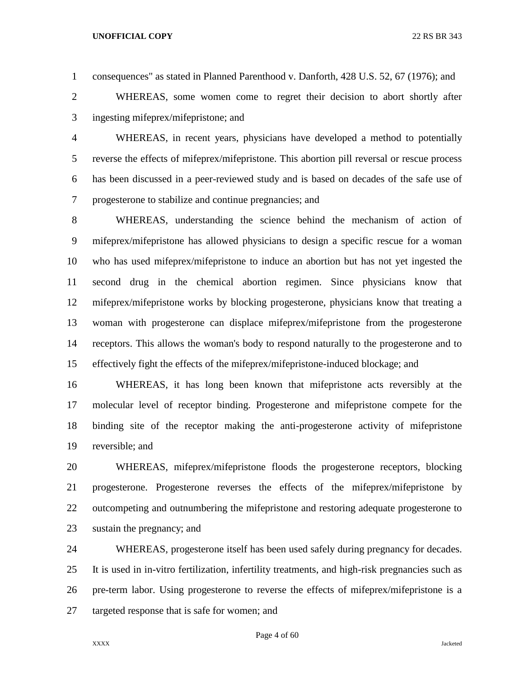consequences" as stated in Planned Parenthood v. Danforth, 428 U.S. 52, 67 (1976); and

 WHEREAS, some women come to regret their decision to abort shortly after ingesting mifeprex/mifepristone; and

 WHEREAS, in recent years, physicians have developed a method to potentially reverse the effects of mifeprex/mifepristone. This abortion pill reversal or rescue process has been discussed in a peer-reviewed study and is based on decades of the safe use of progesterone to stabilize and continue pregnancies; and

 WHEREAS, understanding the science behind the mechanism of action of mifeprex/mifepristone has allowed physicians to design a specific rescue for a woman who has used mifeprex/mifepristone to induce an abortion but has not yet ingested the second drug in the chemical abortion regimen. Since physicians know that mifeprex/mifepristone works by blocking progesterone, physicians know that treating a woman with progesterone can displace mifeprex/mifepristone from the progesterone receptors. This allows the woman's body to respond naturally to the progesterone and to effectively fight the effects of the mifeprex/mifepristone-induced blockage; and

 WHEREAS, it has long been known that mifepristone acts reversibly at the molecular level of receptor binding. Progesterone and mifepristone compete for the binding site of the receptor making the anti-progesterone activity of mifepristone reversible; and

 WHEREAS, mifeprex/mifepristone floods the progesterone receptors, blocking progesterone. Progesterone reverses the effects of the mifeprex/mifepristone by outcompeting and outnumbering the mifepristone and restoring adequate progesterone to sustain the pregnancy; and

 WHEREAS, progesterone itself has been used safely during pregnancy for decades. It is used in in-vitro fertilization, infertility treatments, and high-risk pregnancies such as pre-term labor. Using progesterone to reverse the effects of mifeprex/mifepristone is a targeted response that is safe for women; and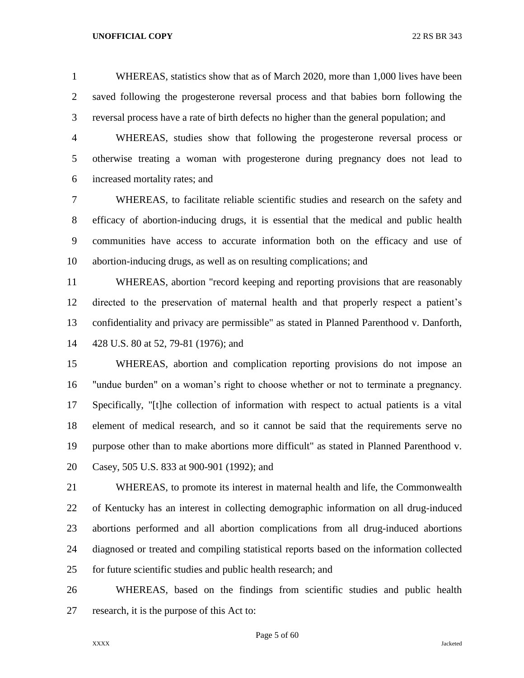WHEREAS, statistics show that as of March 2020, more than 1,000 lives have been saved following the progesterone reversal process and that babies born following the reversal process have a rate of birth defects no higher than the general population; and

 WHEREAS, studies show that following the progesterone reversal process or otherwise treating a woman with progesterone during pregnancy does not lead to increased mortality rates; and

 WHEREAS, to facilitate reliable scientific studies and research on the safety and efficacy of abortion-inducing drugs, it is essential that the medical and public health communities have access to accurate information both on the efficacy and use of abortion-inducing drugs, as well as on resulting complications; and

 WHEREAS, abortion "record keeping and reporting provisions that are reasonably directed to the preservation of maternal health and that properly respect a patient's confidentiality and privacy are permissible" as stated in Planned Parenthood v. Danforth, 428 U.S. 80 at 52, 79-81 (1976); and

 WHEREAS, abortion and complication reporting provisions do not impose an "undue burden" on a woman's right to choose whether or not to terminate a pregnancy. Specifically, "[t]he collection of information with respect to actual patients is a vital element of medical research, and so it cannot be said that the requirements serve no purpose other than to make abortions more difficult" as stated in Planned Parenthood v. Casey, 505 U.S. 833 at 900-901 (1992); and

 WHEREAS, to promote its interest in maternal health and life, the Commonwealth of Kentucky has an interest in collecting demographic information on all drug-induced abortions performed and all abortion complications from all drug-induced abortions diagnosed or treated and compiling statistical reports based on the information collected for future scientific studies and public health research; and

 WHEREAS, based on the findings from scientific studies and public health research, it is the purpose of this Act to:

Page 5 of 60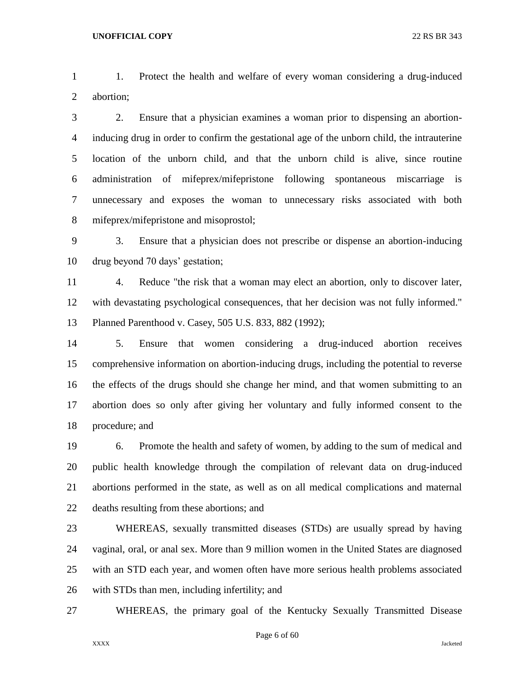1. Protect the health and welfare of every woman considering a drug-induced abortion;

 2. Ensure that a physician examines a woman prior to dispensing an abortion- inducing drug in order to confirm the gestational age of the unborn child, the intrauterine location of the unborn child, and that the unborn child is alive, since routine administration of mifeprex/mifepristone following spontaneous miscarriage is unnecessary and exposes the woman to unnecessary risks associated with both mifeprex/mifepristone and misoprostol;

 3. Ensure that a physician does not prescribe or dispense an abortion-inducing drug beyond 70 days' gestation;

 4. Reduce "the risk that a woman may elect an abortion, only to discover later, with devastating psychological consequences, that her decision was not fully informed." Planned Parenthood v. Casey, 505 U.S. 833, 882 (1992);

 5. Ensure that women considering a drug-induced abortion receives comprehensive information on abortion-inducing drugs, including the potential to reverse the effects of the drugs should she change her mind, and that women submitting to an abortion does so only after giving her voluntary and fully informed consent to the procedure; and

 6. Promote the health and safety of women, by adding to the sum of medical and public health knowledge through the compilation of relevant data on drug-induced abortions performed in the state, as well as on all medical complications and maternal deaths resulting from these abortions; and

 WHEREAS, sexually transmitted diseases (STDs) are usually spread by having vaginal, oral, or anal sex. More than 9 million women in the United States are diagnosed with an STD each year, and women often have more serious health problems associated with STDs than men, including infertility; and

WHEREAS, the primary goal of the Kentucky Sexually Transmitted Disease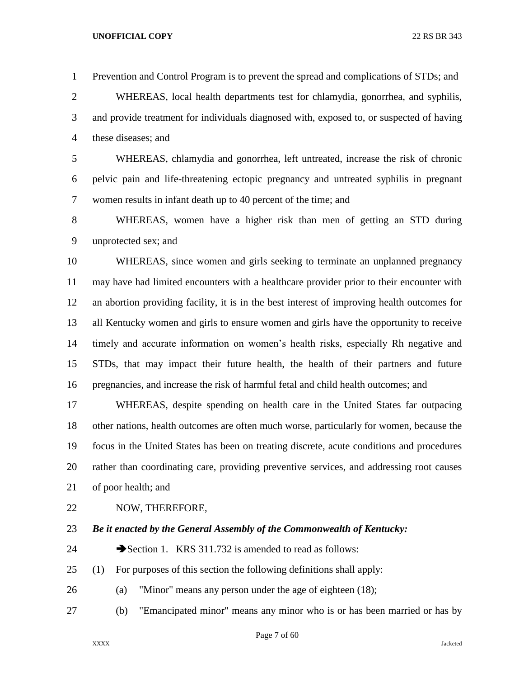Prevention and Control Program is to prevent the spread and complications of STDs; and

 WHEREAS, local health departments test for chlamydia, gonorrhea, and syphilis, and provide treatment for individuals diagnosed with, exposed to, or suspected of having these diseases; and

 WHEREAS, chlamydia and gonorrhea, left untreated, increase the risk of chronic pelvic pain and life-threatening ectopic pregnancy and untreated syphilis in pregnant women results in infant death up to 40 percent of the time; and

 WHEREAS, women have a higher risk than men of getting an STD during unprotected sex; and

 WHEREAS, since women and girls seeking to terminate an unplanned pregnancy may have had limited encounters with a healthcare provider prior to their encounter with an abortion providing facility, it is in the best interest of improving health outcomes for all Kentucky women and girls to ensure women and girls have the opportunity to receive timely and accurate information on women's health risks, especially Rh negative and STDs, that may impact their future health, the health of their partners and future pregnancies, and increase the risk of harmful fetal and child health outcomes; and

 WHEREAS, despite spending on health care in the United States far outpacing other nations, health outcomes are often much worse, particularly for women, because the focus in the United States has been on treating discrete, acute conditions and procedures rather than coordinating care, providing preventive services, and addressing root causes of poor health; and

- NOW, THEREFORE,
- *Be it enacted by the General Assembly of the Commonwealth of Kentucky:*
- 24 Section 1. KRS 311.732 is amended to read as follows:
- (1) For purposes of this section the following definitions shall apply:
- (a) "Minor" means any person under the age of eighteen (18);
- (b) "Emancipated minor" means any minor who is or has been married or has by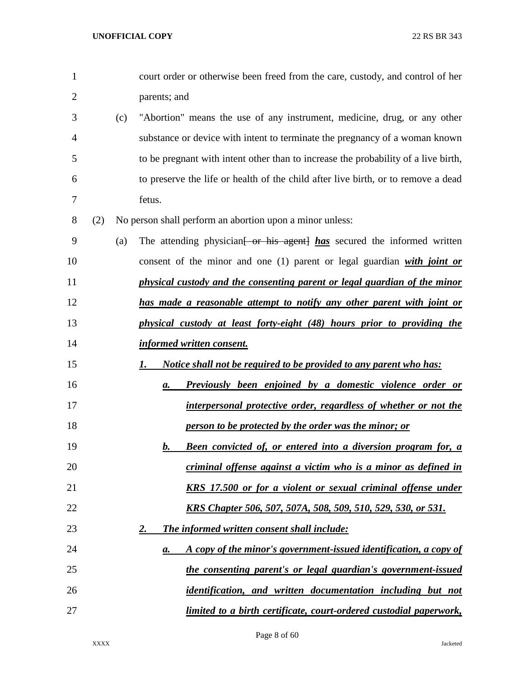| $\mathbf{1}$   |     |     | court order or otherwise been freed from the care, custody, and control of her      |
|----------------|-----|-----|-------------------------------------------------------------------------------------|
| $\overline{2}$ |     |     | parents; and                                                                        |
| 3              |     | (c) | "Abortion" means the use of any instrument, medicine, drug, or any other            |
| 4              |     |     | substance or device with intent to terminate the pregnancy of a woman known         |
| 5              |     |     | to be pregnant with intent other than to increase the probability of a live birth,  |
| 6              |     |     | to preserve the life or health of the child after live birth, or to remove a dead   |
| 7              |     |     | fetus.                                                                              |
| 8              | (2) |     | No person shall perform an abortion upon a minor unless:                            |
| 9              |     | (a) | The attending physician <del>[ or his agent]</del> has secured the informed written |
| 10             |     |     | consent of the minor and one $(1)$ parent or legal guardian with joint or           |
| 11             |     |     | physical custody and the consenting parent or legal guardian of the minor           |
| 12             |     |     | has made a reasonable attempt to notify any other parent with joint or              |
| 13             |     |     | physical custody at least forty-eight (48) hours prior to providing the             |
| 14             |     |     | informed written consent.                                                           |
| 15             |     |     | <u>Notice shall not be required to be provided to any parent who has:</u><br>1.     |
| 16             |     |     | <b>Previously been enjoined by a domestic violence order or</b><br>$\mathbf{a}$ .   |
| 17             |     |     | interpersonal protective order, regardless of whether or not the                    |
| 18             |     |     | person to be protected by the order was the minor; or                               |
| 19             |     |     | <b>Been convicted of, or entered into a diversion program for, a</b><br>$\bm{b}$ .  |
| 20             |     |     | criminal offense against a victim who is a minor as defined in                      |
| 21             |     |     | <u>KRS 17.500 or for a violent or sexual criminal offense under</u>                 |
| 22             |     |     | <u>KRS Chapter 506, 507, 507A, 508, 509, 510, 529, 530, or 531.</u>                 |
| 23             |     |     | <u>2.</u><br><b>The informed written consent shall include:</b>                     |
| 24             |     |     | A copy of the minor's government-issued identification, a copy of<br>$\mathbf{a}$ . |
| 25             |     |     | the consenting parent's or legal guardian's government-issued                       |
| 26             |     |     | <u>identification, and written documentation including but not</u>                  |
| 27             |     |     | <u>limited to a birth certificate, court-ordered custodial paperwork,</u>           |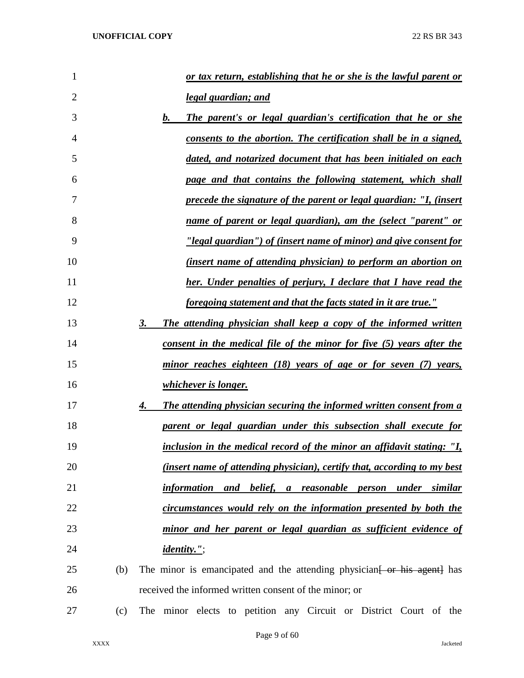| 1              |     | or tax return, establishing that he or she is the lawful parent or                |
|----------------|-----|-----------------------------------------------------------------------------------|
| $\overline{2}$ |     | legal guardian; and                                                               |
| 3              |     | b.<br>The parent's or legal guardian's certification that he or she               |
| 4              |     | consents to the abortion. The certification shall be in a signed,                 |
| 5              |     | dated, and notarized document that has been initialed on each                     |
| 6              |     | page and that contains the following statement, which shall                       |
| 7              |     | <u>precede the signature of the parent or legal guardian: "I, (insert</u>         |
| 8              |     | name of parent or legal guardian), am the (select "parent" or                     |
| 9              |     | <u>"legal guardian") of (insert name of minor) and give consent for</u>           |
| 10             |     | <u>(insert name of attending physician) to perform an abortion on</u>             |
| 11             |     | her. Under penalties of perjury, I declare that I have read the                   |
| 12             |     | foregoing statement and that the facts stated in it are true."                    |
| 13             |     | 3.<br>The attending physician shall keep a copy of the informed written           |
| 14             |     | consent in the medical file of the minor for five (5) years after the             |
| 15             |     | minor reaches eighteen (18) years of age or for seven (7) years,                  |
| 16             |     | <i>whichever is longer.</i>                                                       |
| 17             |     | <b>The attending physician securing the informed written consent from a</b><br>4. |
| 18             |     | parent or legal guardian under this subsection shall execute for                  |
| 19             |     | inclusion in the medical record of the minor an affidavit stating: "I,            |
| 20             |     | <i>(insert name of attending physician), certify that, according to my best</i>   |
| 21             |     | information and belief, a reasonable person<br><u>under</u><br><u>similar</u>     |
| 22             |     | circumstances would rely on the information presented by both the                 |
| 23             |     | minor and her parent or legal guardian as sufficient evidence of                  |
| 24             |     | <i>identity."</i> ;                                                               |
| 25             | (b) | The minor is emancipated and the attending physician for his agent has            |
| 26             |     | received the informed written consent of the minor; or                            |
| 27             | (c) | The minor elects to petition any Circuit or District Court of the                 |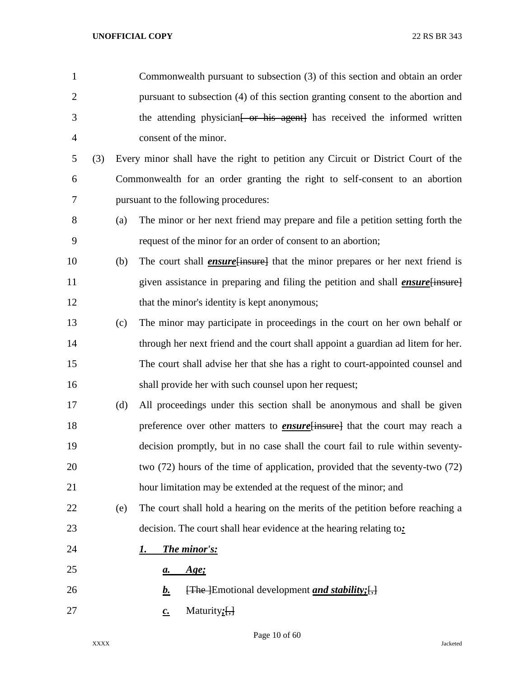| $\mathbf{1}$   |     |     | Commonwealth pursuant to subsection (3) of this section and obtain an order                      |
|----------------|-----|-----|--------------------------------------------------------------------------------------------------|
| $\overline{2}$ |     |     | pursuant to subsection (4) of this section granting consent to the abortion and                  |
| 3              |     |     | the attending physician <del>[ or his agent]</del> has received the informed written             |
| $\overline{4}$ |     |     | consent of the minor.                                                                            |
| 5              | (3) |     | Every minor shall have the right to petition any Circuit or District Court of the                |
| 6              |     |     | Commonwealth for an order granting the right to self-consent to an abortion                      |
| 7              |     |     | pursuant to the following procedures:                                                            |
| 8              |     | (a) | The minor or her next friend may prepare and file a petition setting forth the                   |
| 9              |     |     | request of the minor for an order of consent to an abortion;                                     |
| 10             |     | (b) | The court shall <i>ensure</i> {insure} that the minor prepares or her next friend is             |
| 11             |     |     | given assistance in preparing and filing the petition and shall <i>ensure</i> [insure]           |
| 12             |     |     | that the minor's identity is kept anonymous;                                                     |
| 13             |     | (c) | The minor may participate in proceedings in the court on her own behalf or                       |
| 14             |     |     | through her next friend and the court shall appoint a guardian ad litem for her.                 |
| 15             |     |     | The court shall advise her that she has a right to court-appointed counsel and                   |
| 16             |     |     | shall provide her with such counsel upon her request;                                            |
| 17             |     | (d) | All proceedings under this section shall be anonymous and shall be given                         |
| 18             |     |     | preference over other matters to <b>ensure</b> [insure] that the court may reach a               |
| 19             |     |     | decision promptly, but in no case shall the court fail to rule within seventy-                   |
| 20             |     |     | two (72) hours of the time of application, provided that the seventy-two (72)                    |
| 21             |     |     | hour limitation may be extended at the request of the minor; and                                 |
| 22             |     | (e) | The court shall hold a hearing on the merits of the petition before reaching a                   |
| 23             |     |     | decision. The court shall hear evidence at the hearing relating to:                              |
| 24             |     |     | <b>The minor's:</b><br>I.                                                                        |
| 25             |     |     | Age;<br>а.                                                                                       |
| 26             |     |     | $\overline{f}$ [The ] Emotional development <i>and stability</i> ; $\overline{f}$ ]<br><u>b.</u> |
| 27             |     |     | Maturity $;$ [,]<br>$\underline{c}$ .                                                            |

Page 10 of 60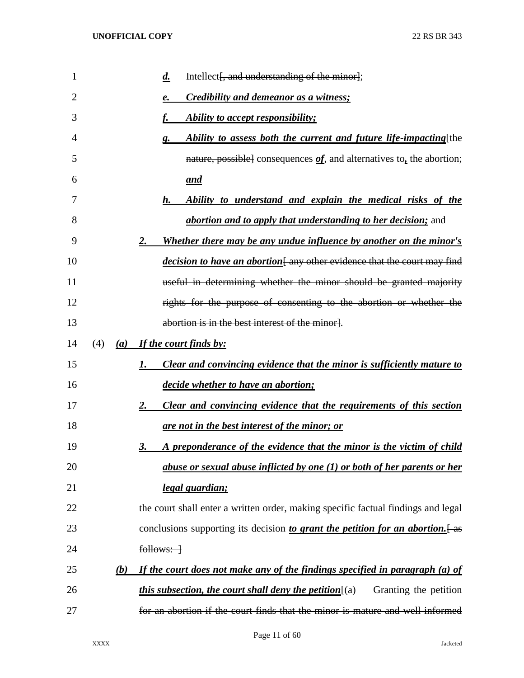| 1  |     |     | Intellect[, and understanding of the minor];<br>$\overline{d}$ .                      |
|----|-----|-----|---------------------------------------------------------------------------------------|
| 2  |     |     | Credibility and demeanor as a witness;<br>e.                                          |
| 3  |     |     | Ability to accept responsibility;                                                     |
| 4  |     |     | Ability to assess both the current and future life-impacting [the<br>g.               |
| 5  |     |     | nature, possible] consequences $of$ , and alternatives to, the abortion;              |
| 6  |     |     | and                                                                                   |
| 7  |     |     | Ability to understand and explain the medical risks of the<br>h.                      |
| 8  |     |     | <i>abortion and to apply that understanding to her decision;</i> and                  |
| 9  |     |     | Whether there may be any undue influence by another on the minor's<br>2.              |
| 10 |     |     | <i>decision to have an abortion</i> [any other evidence that the court may find       |
| 11 |     |     | useful in determining whether the minor should be granted majority                    |
| 12 |     |     | rights for the purpose of consenting to the abortion or whether the                   |
| 13 |     |     | abortion is in the best interest of the minor].                                       |
| 14 | (4) |     | (a) If the court finds by:                                                            |
| 15 |     |     | <b>Clear and convincing evidence that the minor is sufficiently mature to</b><br>1.   |
| 16 |     |     | decide whether to have an abortion;                                                   |
| 17 |     |     | Clear and convincing evidence that the requirements of this section<br>2.             |
| 18 |     |     | <u>are not in the best interest of the minor; or</u>                                  |
| 19 |     |     | A preponderance of the evidence that the minor is the victim of child<br>3.           |
| 20 |     |     | abuse or sexual abuse inflicted by one (1) or both of her parents or her              |
| 21 |     |     | legal guardian;                                                                       |
| 22 |     |     | the court shall enter a written order, making specific factual findings and legal     |
| 23 |     |     | conclusions supporting its decision to grant the petition for an abortion. [as        |
| 24 |     |     | $follows:$ $\rightarrow$                                                              |
| 25 |     | (b) | If the court does not make any of the findings specified in paragraph (a) of          |
| 26 |     |     | <i>this subsection, the court shall deny the petition</i> $(a)$ Granting the petition |
| 27 |     |     | for an abortion if the court finds that the minor is mature and well informed         |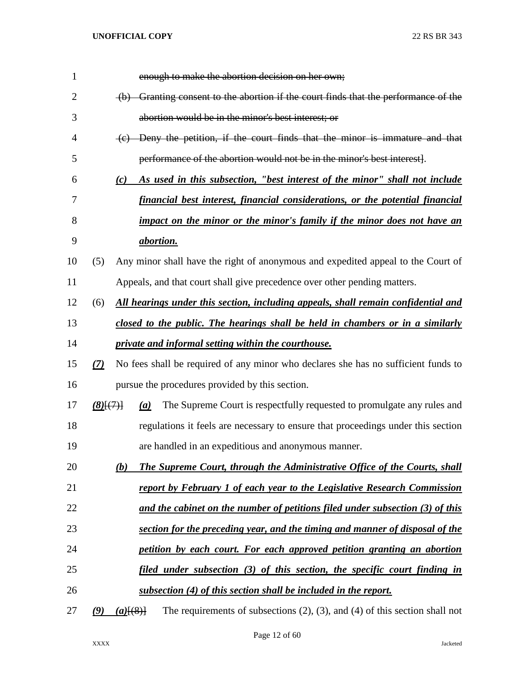| 1              |             | enough to make the abortion decision on her own;                                                   |
|----------------|-------------|----------------------------------------------------------------------------------------------------|
| $\overline{2}$ |             | (b) Granting consent to the abortion if the court finds that the performance of the                |
| 3              |             | abortion would be in the minor's best interest; or                                                 |
| 4              |             | (c) Deny the petition, if the court finds that the minor is immature and that                      |
| 5              |             | performance of the abortion would not be in the minor's best interest.                             |
| 6              |             | As used in this subsection, "best interest of the minor" shall not include<br>(c)                  |
| 7              |             | financial best interest, financial considerations, or the potential financial                      |
| 8              |             | impact on the minor or the minor's family if the minor does not have an                            |
| 9              |             | <i>abortion.</i>                                                                                   |
| 10             | (5)         | Any minor shall have the right of anonymous and expedited appeal to the Court of                   |
| 11             |             | Appeals, and that court shall give precedence over other pending matters.                          |
| 12             | (6)         | All hearings under this section, including appeals, shall remain confidential and                  |
| 13             |             | closed to the public. The hearings shall be held in chambers or in a similarly                     |
| 14             |             | private and informal setting within the courthouse.                                                |
| 15             | (7)         | No fees shall be required of any minor who declares she has no sufficient funds to                 |
| 16             |             | pursue the procedures provided by this section.                                                    |
| 17             | $(8)$ $(7)$ | The Supreme Court is respectfully requested to promulgate any rules and<br>(a)                     |
| 18             |             | regulations it feels are necessary to ensure that proceedings under this section                   |
| 19             |             | are handled in an expeditious and anonymous manner.                                                |
| 20             |             | The Supreme Court, through the Administrative Office of the Courts, shall<br>(b)                   |
| 21             |             | report by February 1 of each year to the Legislative Research Commission                           |
| 22             |             | and the cabinet on the number of petitions filed under subsection (3) of this                      |
| 23             |             | section for the preceding year, and the timing and manner of disposal of the                       |
| 24             |             | petition by each court. For each approved petition granting an abortion                            |
| 25             |             | filed under subsection (3) of this section, the specific court finding in                          |
| 26             |             | subsection (4) of this section shall be included in the report.                                    |
| 27             | (9)         | The requirements of subsections $(2)$ , $(3)$ , and $(4)$ of this section shall not<br>$(a)$ [(8)] |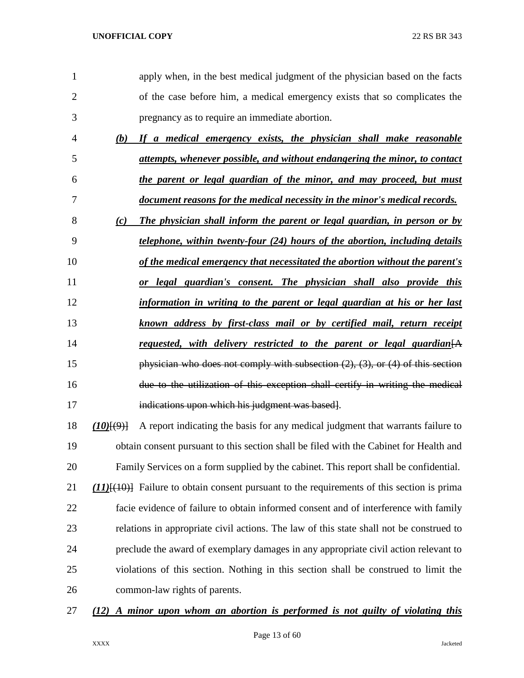| 1              |                  | apply when, in the best medical judgment of the physician based on the facts                  |
|----------------|------------------|-----------------------------------------------------------------------------------------------|
| $\overline{2}$ |                  | of the case before him, a medical emergency exists that so complicates the                    |
| 3              |                  | pregnancy as to require an immediate abortion.                                                |
| $\overline{4}$ | (b)              | If a medical emergency exists, the physician shall make reasonable                            |
| 5              |                  | attempts, whenever possible, and without endangering the minor, to contact                    |
| 6              |                  | the parent or legal guardian of the minor, and may proceed, but must                          |
| 7              |                  | document reasons for the medical necessity in the minor's medical records.                    |
| 8              | (c)              | The physician shall inform the parent or legal guardian, in person or by                      |
| 9              |                  | telephone, within twenty-four (24) hours of the abortion, including details                   |
| 10             |                  | of the medical emergency that necessitated the abortion without the parent's                  |
| 11             |                  | or legal guardian's consent. The physician shall also provide this                            |
| 12             |                  | information in writing to the parent or legal guardian at his or her last                     |
| 13             |                  | known address by first-class mail or by certified mail, return receipt                        |
| 14             |                  | requested, with delivery restricted to the parent or legal guardian [A]                       |
| 15             |                  | physician who does not comply with subsection $(2)$ , $(3)$ , or $(4)$ of this section        |
| 16             |                  | due to the utilization of this exception shall certify in writing the medical                 |
| 17             |                  | indications upon which his judgment was based.                                                |
| 18             | $(10)$ $(9)$ $($ | A report indicating the basis for any medical judgment that warrants failure to               |
| 19             |                  | obtain consent pursuant to this section shall be filed with the Cabinet for Health and        |
| 20             |                  | Family Services on a form supplied by the cabinet. This report shall be confidential.         |
| 21             |                  | $(11)$ $(10)$ Failure to obtain consent pursuant to the requirements of this section is prima |
| 22             |                  | facie evidence of failure to obtain informed consent and of interference with family          |
| 23             |                  | relations in appropriate civil actions. The law of this state shall not be construed to       |
| 24             |                  | preclude the award of exemplary damages in any appropriate civil action relevant to           |
|                |                  | violations of this section. Nothing in this section shall be construed to limit the           |
| 25             |                  |                                                                                               |

*(12) A minor upon whom an abortion is performed is not guilty of violating this*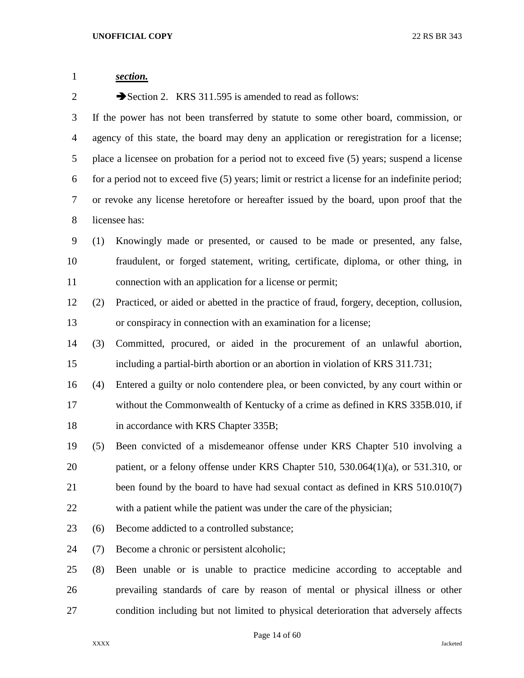| $\mathbf{1}$   |     | section.                                                                                         |
|----------------|-----|--------------------------------------------------------------------------------------------------|
| $\overline{2}$ |     | Section 2. KRS 311.595 is amended to read as follows:                                            |
| 3              |     | If the power has not been transferred by statute to some other board, commission, or             |
| 4              |     | agency of this state, the board may deny an application or reregistration for a license;         |
| 5              |     | place a licensee on probation for a period not to exceed five (5) years; suspend a license       |
| 6              |     | for a period not to exceed five (5) years; limit or restrict a license for an indefinite period; |
| 7              |     | or revoke any license heretofore or hereafter issued by the board, upon proof that the           |
| 8              |     | licensee has:                                                                                    |
| 9              | (1) | Knowingly made or presented, or caused to be made or presented, any false,                       |
| 10             |     | fraudulent, or forged statement, writing, certificate, diploma, or other thing, in               |
| 11             |     | connection with an application for a license or permit;                                          |
| 12             | (2) | Practiced, or aided or abetted in the practice of fraud, forgery, deception, collusion,          |
| 13             |     | or conspiracy in connection with an examination for a license;                                   |
| 14             | (3) | Committed, procured, or aided in the procurement of an unlawful abortion,                        |
| 15             |     | including a partial-birth abortion or an abortion in violation of KRS 311.731;                   |
| 16             | (4) | Entered a guilty or nolo contendere plea, or been convicted, by any court within or              |
| 17             |     | without the Commonwealth of Kentucky of a crime as defined in KRS 335B.010, if                   |
| 18             |     | in accordance with KRS Chapter 335B;                                                             |
| 19             | (5) | Been convicted of a misdemeanor offense under KRS Chapter 510 involving a                        |
| 20             |     | patient, or a felony offense under KRS Chapter 510, 530.064(1)(a), or 531.310, or                |
| 21             |     | been found by the board to have had sexual contact as defined in KRS 510.010(7)                  |
| 22             |     | with a patient while the patient was under the care of the physician;                            |
| 23             | (6) | Become addicted to a controlled substance;                                                       |
| 24             | (7) | Become a chronic or persistent alcoholic;                                                        |
| 25             | (8) | Been unable or is unable to practice medicine according to acceptable and                        |
| 26             |     | prevailing standards of care by reason of mental or physical illness or other                    |
| 27             |     | condition including but not limited to physical deterioration that adversely affects             |

Page 14 of 60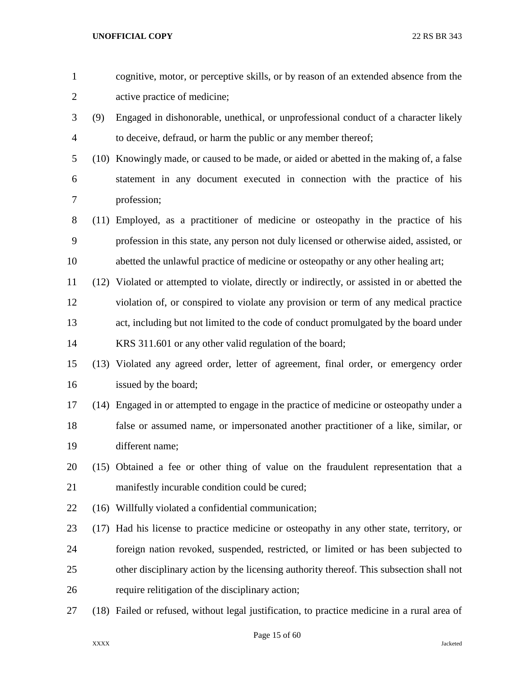| $\mathbf{1}$   |      | cognitive, motor, or perceptive skills, or by reason of an extended absence from the         |
|----------------|------|----------------------------------------------------------------------------------------------|
| $\overline{c}$ |      | active practice of medicine;                                                                 |
| 3              | (9)  | Engaged in dishonorable, unethical, or unprofessional conduct of a character likely          |
| 4              |      | to deceive, defraud, or harm the public or any member thereof;                               |
| 5              |      | (10) Knowingly made, or caused to be made, or aided or abetted in the making of, a false     |
| 6              |      | statement in any document executed in connection with the practice of his                    |
| 7              |      | profession;                                                                                  |
| 8              |      | (11) Employed, as a practitioner of medicine or osteopathy in the practice of his            |
| 9              |      | profession in this state, any person not duly licensed or otherwise aided, assisted, or      |
| 10             |      | abetted the unlawful practice of medicine or osteopathy or any other healing art;            |
| 11             |      | (12) Violated or attempted to violate, directly or indirectly, or assisted in or abetted the |
| 12             |      | violation of, or conspired to violate any provision or term of any medical practice          |
| 13             |      | act, including but not limited to the code of conduct promulgated by the board under         |
| 14             |      | KRS 311.601 or any other valid regulation of the board;                                      |
| 15             |      | (13) Violated any agreed order, letter of agreement, final order, or emergency order         |
| 16             |      | issued by the board;                                                                         |
| 17             |      | (14) Engaged in or attempted to engage in the practice of medicine or osteopathy under a     |
| 18             |      | false or assumed name, or impersonated another practitioner of a like, similar, or           |
| 19             |      | different name;                                                                              |
| 20             |      | (15) Obtained a fee or other thing of value on the fraudulent representation that a          |
| 21             |      | manifestly incurable condition could be cured;                                               |
| 22             |      | (16) Willfully violated a confidential communication;                                        |
| 23             | (17) | Had his license to practice medicine or osteopathy in any other state, territory, or         |
| 24             |      | foreign nation revoked, suspended, restricted, or limited or has been subjected to           |
| 25             |      | other disciplinary action by the licensing authority thereof. This subsection shall not      |
| 26             |      | require relitigation of the disciplinary action;                                             |
| 27             |      | (18) Failed or refused, without legal justification, to practice medicine in a rural area of |

# Page 15 of 60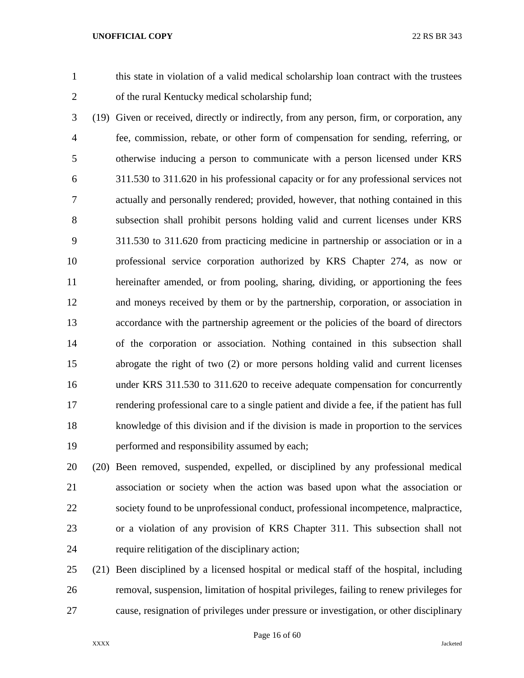this state in violation of a valid medical scholarship loan contract with the trustees of the rural Kentucky medical scholarship fund;

 (19) Given or received, directly or indirectly, from any person, firm, or corporation, any fee, commission, rebate, or other form of compensation for sending, referring, or otherwise inducing a person to communicate with a person licensed under KRS 311.530 to 311.620 in his professional capacity or for any professional services not actually and personally rendered; provided, however, that nothing contained in this subsection shall prohibit persons holding valid and current licenses under KRS 311.530 to 311.620 from practicing medicine in partnership or association or in a professional service corporation authorized by KRS Chapter 274, as now or hereinafter amended, or from pooling, sharing, dividing, or apportioning the fees and moneys received by them or by the partnership, corporation, or association in accordance with the partnership agreement or the policies of the board of directors of the corporation or association. Nothing contained in this subsection shall abrogate the right of two (2) or more persons holding valid and current licenses under KRS 311.530 to 311.620 to receive adequate compensation for concurrently rendering professional care to a single patient and divide a fee, if the patient has full knowledge of this division and if the division is made in proportion to the services performed and responsibility assumed by each;

 (20) Been removed, suspended, expelled, or disciplined by any professional medical association or society when the action was based upon what the association or society found to be unprofessional conduct, professional incompetence, malpractice, or a violation of any provision of KRS Chapter 311. This subsection shall not require relitigation of the disciplinary action;

 (21) Been disciplined by a licensed hospital or medical staff of the hospital, including removal, suspension, limitation of hospital privileges, failing to renew privileges for cause, resignation of privileges under pressure or investigation, or other disciplinary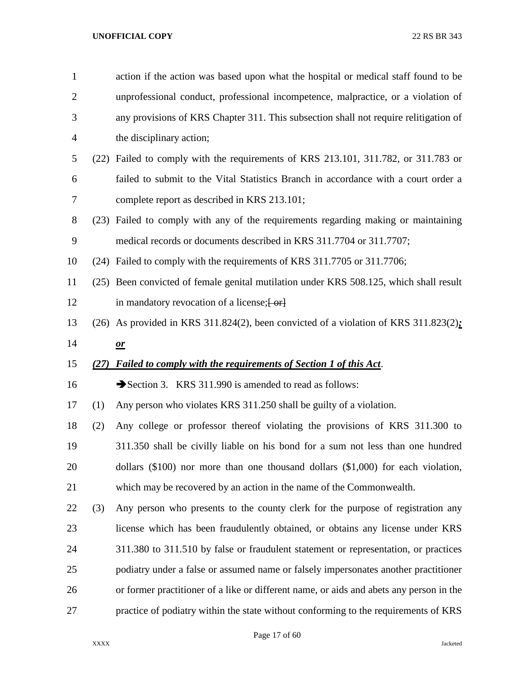| $\mathbf{1}$   |      | action if the action was based upon what the hospital or medical staff found to be      |
|----------------|------|-----------------------------------------------------------------------------------------|
| $\overline{2}$ |      | unprofessional conduct, professional incompetence, malpractice, or a violation of       |
| 3              |      | any provisions of KRS Chapter 311. This subsection shall not require relitigation of    |
| 4              |      | the disciplinary action;                                                                |
| 5              |      | (22) Failed to comply with the requirements of KRS 213.101, 311.782, or 311.783 or      |
| 6              |      | failed to submit to the Vital Statistics Branch in accordance with a court order a      |
| 7              |      | complete report as described in KRS 213.101;                                            |
| 8              |      | (23) Failed to comply with any of the requirements regarding making or maintaining      |
| 9              |      | medical records or documents described in KRS 311.7704 or 311.7707;                     |
| 10             |      | (24) Failed to comply with the requirements of KRS 311.7705 or 311.7706;                |
| 11             |      | (25) Been convicted of female genital mutilation under KRS 508.125, which shall result  |
| 12             |      | in mandatory revocation of a license; [-or]                                             |
| 13             |      | (26) As provided in KRS 311.824(2), been convicted of a violation of KRS 311.823(2):    |
| 14             |      | $\mathbf{\underline{or}}$                                                               |
| 15             | (27) | <b>Failed to comply with the requirements of Section 1 of this Act.</b>                 |
|                |      |                                                                                         |
| 16             |      | Section 3. KRS 311.990 is amended to read as follows:                                   |
| 17             | (1)  | Any person who violates KRS 311.250 shall be guilty of a violation.                     |
| 18             | (2)  | Any college or professor thereof violating the provisions of KRS 311.300 to             |
| 19             |      | 311.350 shall be civilly liable on his bond for a sum not less than one hundred         |
| 20             |      | dollars $(\$100)$ nor more than one thousand dollars $(\$1,000)$ for each violation,    |
| 21             |      | which may be recovered by an action in the name of the Commonwealth.                    |
| 22             | (3)  | Any person who presents to the county clerk for the purpose of registration any         |
| 23             |      | license which has been fraudulently obtained, or obtains any license under KRS          |
| 24             |      | 311.380 to 311.510 by false or fraudulent statement or representation, or practices     |
| 25             |      | podiatry under a false or assumed name or falsely impersonates another practitioner     |
| 26             |      | or former practitioner of a like or different name, or aids and abets any person in the |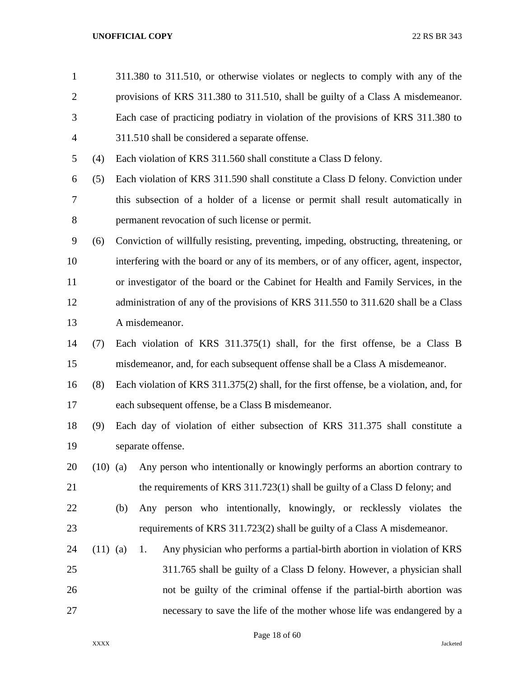| $\mathbf{1}$   |            | 311.380 to 311.510, or otherwise violates or neglects to comply with any of the         |
|----------------|------------|-----------------------------------------------------------------------------------------|
| $\overline{2}$ |            | provisions of KRS 311.380 to 311.510, shall be guilty of a Class A misdemeanor.         |
| 3              |            | Each case of practicing podiatry in violation of the provisions of KRS 311.380 to       |
| 4              |            | 311.510 shall be considered a separate offense.                                         |
| 5              | (4)        | Each violation of KRS 311.560 shall constitute a Class D felony.                        |
| 6              | (5)        | Each violation of KRS 311.590 shall constitute a Class D felony. Conviction under       |
| 7              |            | this subsection of a holder of a license or permit shall result automatically in        |
| 8              |            | permanent revocation of such license or permit.                                         |
| 9              | (6)        | Conviction of willfully resisting, preventing, impeding, obstructing, threatening, or   |
| 10             |            | interfering with the board or any of its members, or of any officer, agent, inspector,  |
| 11             |            | or investigator of the board or the Cabinet for Health and Family Services, in the      |
| 12             |            | administration of any of the provisions of KRS 311.550 to 311.620 shall be a Class      |
| 13             |            | A misdemeanor.                                                                          |
| 14             | (7)        | Each violation of KRS 311.375(1) shall, for the first offense, be a Class B             |
| 15             |            | misdemeanor, and, for each subsequent offense shall be a Class A misdemeanor.           |
| 16             | (8)        | Each violation of KRS 311.375(2) shall, for the first offense, be a violation, and, for |
| 17             |            | each subsequent offense, be a Class B misdemeanor.                                      |
| 18             | (9)        | Each day of violation of either subsection of KRS 311.375 shall constitute a            |
| 19             |            | separate offense.                                                                       |
| 20             | $(10)$ (a) | Any person who intentionally or knowingly performs an abortion contrary to              |
| 21             |            | the requirements of KRS 311.723(1) shall be guilty of a Class D felony; and             |
| 22             |            | Any person who intentionally, knowingly, or recklessly violates the<br>(b)              |
| 23             |            | requirements of KRS 311.723(2) shall be guilty of a Class A misdemeanor.                |
| 24             | $(11)$ (a) | Any physician who performs a partial-birth abortion in violation of KRS<br>1.           |
| 25             |            | 311.765 shall be guilty of a Class D felony. However, a physician shall                 |
| 26             |            | not be guilty of the criminal offense if the partial-birth abortion was                 |
| 27             |            | necessary to save the life of the mother whose life was endangered by a                 |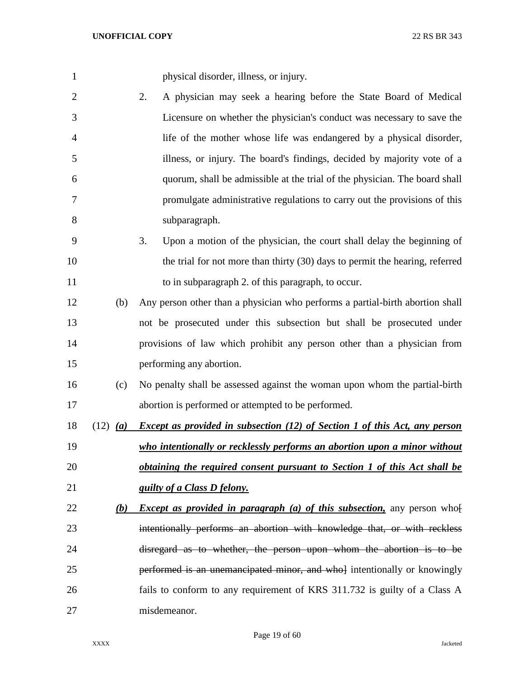| $\mathbf{1}$   |                     | physical disorder, illness, or injury.                                            |
|----------------|---------------------|-----------------------------------------------------------------------------------|
| $\overline{c}$ |                     | A physician may seek a hearing before the State Board of Medical<br>2.            |
| 3              |                     | Licensure on whether the physician's conduct was necessary to save the            |
| 4              |                     | life of the mother whose life was endangered by a physical disorder,              |
| 5              |                     | illness, or injury. The board's findings, decided by majority vote of a           |
| 6              |                     | quorum, shall be admissible at the trial of the physician. The board shall        |
| $\tau$         |                     | promulgate administrative regulations to carry out the provisions of this         |
| 8              |                     | subparagraph.                                                                     |
| 9              |                     | 3.<br>Upon a motion of the physician, the court shall delay the beginning of      |
| 10             |                     | the trial for not more than thirty (30) days to permit the hearing, referred      |
| 11             |                     | to in subparagraph 2. of this paragraph, to occur.                                |
| 12             | (b)                 | Any person other than a physician who performs a partial-birth abortion shall     |
| 13             |                     | not be prosecuted under this subsection but shall be prosecuted under             |
| 14             |                     | provisions of law which prohibit any person other than a physician from           |
| 15             |                     | performing any abortion.                                                          |
| 16             | (c)                 | No penalty shall be assessed against the woman upon whom the partial-birth        |
| 17             |                     | abortion is performed or attempted to be performed.                               |
| 18             | $(12)$ ( <i>a</i> ) | <b>Except as provided in subsection (12) of Section 1 of this Act, any person</b> |
| 19             |                     | who intentionally or recklessly performs an abortion upon a minor without         |
| 20             |                     | <u>obtaining the required consent pursuant to Section 1 of this Act shall be</u>  |
| 21             |                     | guilty of a Class D felony.                                                       |
| 22             | (b)                 | <i>Except as provided in paragraph (a) of this subsection</i> , any person who    |
| 23             |                     | intentionally performs an abortion with knowledge that, or with reckless          |
| 24             |                     | disregard as to whether, the person upon whom the abortion is to be               |
| 25             |                     | performed is an unemancipated minor, and whol intentionally or knowingly          |
| 26             |                     | fails to conform to any requirement of KRS 311.732 is guilty of a Class A         |
| 27             |                     | misdemeanor.                                                                      |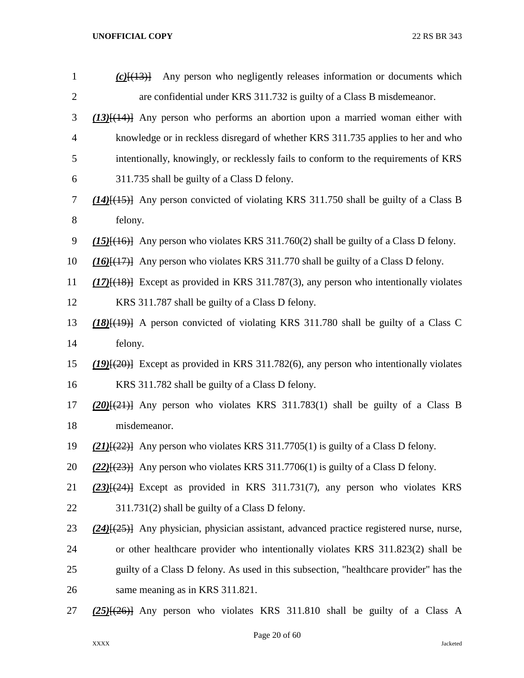| $\mathbf{1}$     | Any person who negligently releases information or documents which<br>$(c)$ $(13)$               |
|------------------|--------------------------------------------------------------------------------------------------|
| $\overline{2}$   | are confidential under KRS 311.732 is guilty of a Class B misdemeanor.                           |
| 3                | $(13)$ [ $(14)$ ] Any person who performs an abortion upon a married woman either with           |
| $\overline{4}$   | knowledge or in reckless disregard of whether KRS 311.735 applies to her and who                 |
| 5                | intentionally, knowingly, or recklessly fails to conform to the requirements of KRS              |
| 6                | 311.735 shall be guilty of a Class D felony.                                                     |
| 7                | $(14)$ { $(15)$ } Any person convicted of violating KRS 311.750 shall be guilty of a Class B     |
| 8                | felony.                                                                                          |
| $\boldsymbol{9}$ | $(15)$ [ $(16)$ ] Any person who violates KRS 311.760(2) shall be guilty of a Class D felony.    |
| 10               | $(16)$ $\{ (17)$ } Any person who violates KRS 311.770 shall be guilty of a Class D felony.      |
| 11               | $(17)$ [ $(18)$ ] Except as provided in KRS 311.787(3), any person who intentionally violates    |
| 12               | KRS 311.787 shall be guilty of a Class D felony.                                                 |
| 13               | $(18)$ $(19)$ A person convicted of violating KRS 311.780 shall be guilty of a Class C           |
| 14               | felony.                                                                                          |
| 15               | $(19)$ [ $(20)$ ] Except as provided in KRS 311.782(6), any person who intentionally violates    |
| 16               | KRS 311.782 shall be guilty of a Class D felony.                                                 |
| 17               | $(20)(21)$ Any person who violates KRS 311.783(1) shall be guilty of a Class B                   |
| 18               | misdemeanor.                                                                                     |
| 19               | $(21)$ { $(22)$ } Any person who violates KRS 311.7705(1) is guilty of a Class D felony.         |
| 20               | $(22)$ { $(23)$ } Any person who violates KRS 311.7706(1) is guilty of a Class D felony.         |
| 21               | $(23)$ [ $(24)$ ] Except as provided in KRS 311.731(7), any person who violates KRS              |
| 22               | 311.731(2) shall be guilty of a Class D felony.                                                  |
| 23               | $(24)$ { $(25)$ } Any physician, physician assistant, advanced practice registered nurse, nurse, |
| 24               | or other healthcare provider who intentionally violates KRS 311.823(2) shall be                  |
| 25               | guilty of a Class D felony. As used in this subsection, "healthcare provider" has the            |
| 26               | same meaning as in KRS 311.821.                                                                  |
| 27               | $(25)$ $(26)$ } Any person who violates KRS 311.810 shall be guilty of a Class A                 |

Page 20 of 60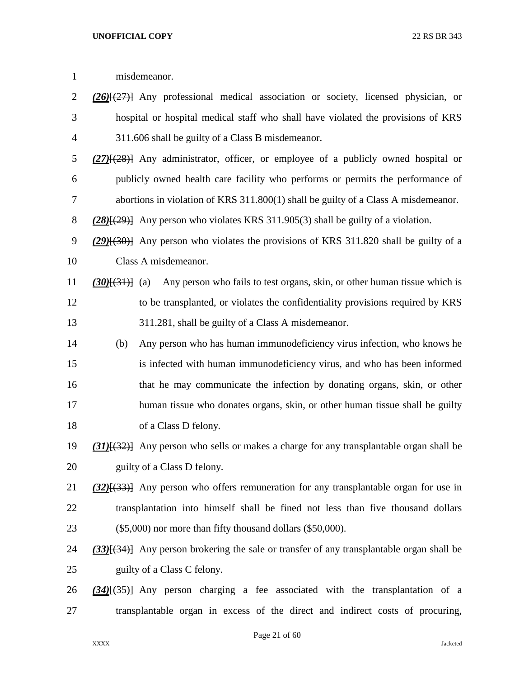| $\mathbf{1}$   |                | misdemeanor.                                                                                         |
|----------------|----------------|------------------------------------------------------------------------------------------------------|
| $\overline{c}$ |                | $(26)$ $(27)$ } Any professional medical association or society, licensed physician, or              |
| 3              |                | hospital or hospital medical staff who shall have violated the provisions of KRS                     |
| 4              |                | 311.606 shall be guilty of a Class B misdemeanor.                                                    |
| 5              |                | $(27)$ { $(28)$ } Any administrator, officer, or employee of a publicly owned hospital or            |
| 6              |                | publicly owned health care facility who performs or permits the performance of                       |
| 7              |                | abortions in violation of KRS $311.800(1)$ shall be guilty of a Class A misdemeanor.                 |
| $8\,$          |                | $(28)(29)$ } Any person who violates KRS 311.905(3) shall be guilty of a violation.                  |
| 9              |                | $(29)$ { $(30)$ } Any person who violates the provisions of KRS 311.820 shall be guilty of a         |
| 10             |                | Class A misdemeanor.                                                                                 |
| 11             | $(30)(31)$ (a) | Any person who fails to test organs, skin, or other human tissue which is                            |
| 12             |                | to be transplanted, or violates the confidentiality provisions required by KRS                       |
| 13             |                | 311.281, shall be guilty of a Class A misdemeanor.                                                   |
| 14             | (b)            | Any person who has human immunodeficiency virus infection, who knows he                              |
| 15             |                | is infected with human immunodeficiency virus, and who has been informed                             |
| 16             |                | that he may communicate the infection by donating organs, skin, or other                             |
| 17             |                | human tissue who donates organs, skin, or other human tissue shall be guilty                         |
| 18             |                | of a Class D felony.                                                                                 |
| 19             |                | (31) <sup>[(32)</sup> ] Any person who sells or makes a charge for any transplantable organ shall be |
| 20             |                | guilty of a Class D felony.                                                                          |
| 21             |                | $(32)$ { $(33)$ } Any person who offers remuneration for any transplantable organ for use in         |
| 22             |                | transplantation into himself shall be fined not less than five thousand dollars                      |
| 23             |                | $(\$5,000)$ nor more than fifty thousand dollars $(\$50,000)$ .                                      |
| 24             |                | $(33)$ [ $(34)$ ] Any person brokering the sale or transfer of any transplantable organ shall be     |
| 25             |                | guilty of a Class C felony.                                                                          |
| 26             |                | $(34)$ [ $(35)$ ] Any person charging a fee associated with the transplantation of a                 |
| 27             |                | transplantable organ in excess of the direct and indirect costs of procuring,                        |

Page 21 of 60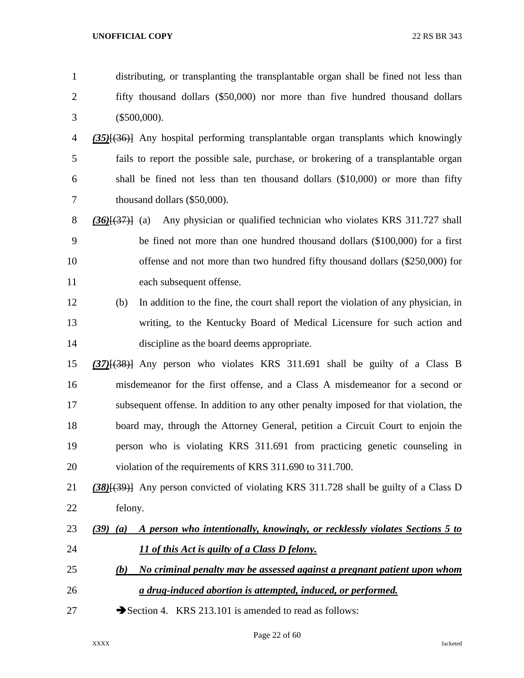| $\mathbf{1}$   | distributing, or transplanting the transplantable organ shall be fined not less than        |
|----------------|---------------------------------------------------------------------------------------------|
| $\overline{2}$ | fifty thousand dollars (\$50,000) nor more than five hundred thousand dollars               |
| 3              | $(\$500,000).$                                                                              |
| 4              | $(35)$ { $(36)$ } Any hospital performing transplantable organ transplants which knowingly  |
| 5              | fails to report the possible sale, purchase, or brokering of a transplantable organ         |
| 6              | shall be fined not less than ten thousand dollars (\$10,000) or more than fifty             |
| 7              | thousand dollars (\$50,000).                                                                |
| 8              | Any physician or qualified technician who violates KRS 311.727 shall<br>$(36)(37)$ (a)      |
| 9              | be fined not more than one hundred thousand dollars (\$100,000) for a first                 |
| 10             | offense and not more than two hundred fifty thousand dollars (\$250,000) for                |
| 11             | each subsequent offense.                                                                    |
| 12             | In addition to the fine, the court shall report the violation of any physician, in<br>(b)   |
| 13             | writing, to the Kentucky Board of Medical Licensure for such action and                     |
| 14             | discipline as the board deems appropriate.                                                  |
| 15             | $(37)$ [ $(38)$ ] Any person who violates KRS 311.691 shall be guilty of a Class B          |
| 16             | misdemeanor for the first offense, and a Class A misdemeanor for a second or                |
| 17             | subsequent offense. In addition to any other penalty imposed for that violation, the        |
| 18             | board may, through the Attorney General, petition a Circuit Court to enjoin the             |
| 19             | person who is violating KRS 311.691 from practicing genetic counseling in                   |
| 20             | violation of the requirements of KRS 311.690 to 311.700.                                    |
| 21             | (38)[(39)] Any person convicted of violating KRS 311.728 shall be guilty of a Class D       |
| 22             | felony.                                                                                     |
| 23             | A person who intentionally, knowingly, or recklessly violates Sections 5 to<br>$(39)$ $(a)$ |
| 24             | 11 of this Act is guilty of a Class D felony.                                               |
| 25             | No criminal penalty may be assessed against a pregnant patient upon whom<br>(b)             |
| 26             | a drug-induced abortion is attempted, induced, or performed.                                |
|                |                                                                                             |

27 Section 4. KRS 213.101 is amended to read as follows: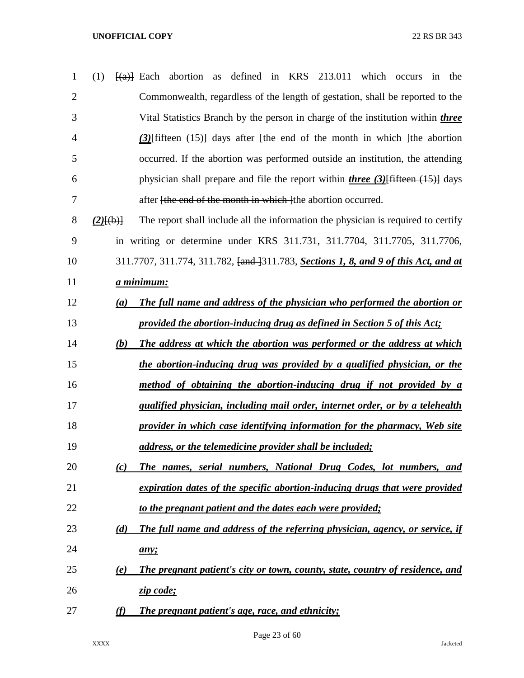| $\mathbf{1}$   | defined in KRS 213.011<br>which<br>(1)<br>$\frac{f(a)}{g(a)}$ Each abortion<br>as<br>the<br>occurs<br>in   |
|----------------|------------------------------------------------------------------------------------------------------------|
| $\overline{2}$ | Commonwealth, regardless of the length of gestation, shall be reported to the                              |
| 3              | Vital Statistics Branch by the person in charge of the institution within <i>three</i>                     |
| 4              | $(3)$ fifteen $(15)$ days after the end of the month in which the abortion                                 |
| 5              | occurred. If the abortion was performed outside an institution, the attending                              |
| 6              | physician shall prepare and file the report within <i>three</i> $(3)$ fifteen $(15)$ days                  |
| 7              | after <del>[the end of the month in which ]</del> the abortion occurred.                                   |
| 8              | The report shall include all the information the physician is required to certify<br>$(2)$ $(\frac{1}{6})$ |
| 9              | in writing or determine under KRS 311.731, 311.7704, 311.7705, 311.7706,                                   |
| 10             | 311.7707, 311.774, 311.782, <del>[and ]</del> 311.783, <b>Sections 1, 8, and 9 of this Act, and at</b>     |
| 11             | <u>a minimum:</u>                                                                                          |
| 12             | The full name and address of the physician who performed the abortion or<br>(a)                            |
| 13             | provided the abortion-inducing drug as defined in Section 5 of this Act;                                   |
| 14             | The address at which the abortion was performed or the address at which<br>(b)                             |
| 15             | the abortion-inducing drug was provided by a qualified physician, or the                                   |
| 16             | method of obtaining the abortion-inducing drug if not provided by a                                        |
| 17             | qualified physician, including mail order, internet order, or by a telehealth                              |
| 18             | provider in which case identifying information for the pharmacy, Web site                                  |
| 19             | address, or the telemedicine provider shall be included;                                                   |
| 20             | The names, serial numbers, National Drug Codes, lot numbers, and<br>(c)                                    |
| 21             | expiration dates of the specific abortion-inducing drugs that were provided                                |
| 22             | to the pregnant patient and the dates each were provided;                                                  |
| 23             | The full name and address of the referring physician, agency, or service, if<br>(d)                        |
| 24             | any;                                                                                                       |
| 25             | The pregnant patient's city or town, county, state, country of residence, and<br>(e)                       |
| 26             | zip code;                                                                                                  |
| 27             | The pregnant patient's age, race, and ethnicity;<br>(f)                                                    |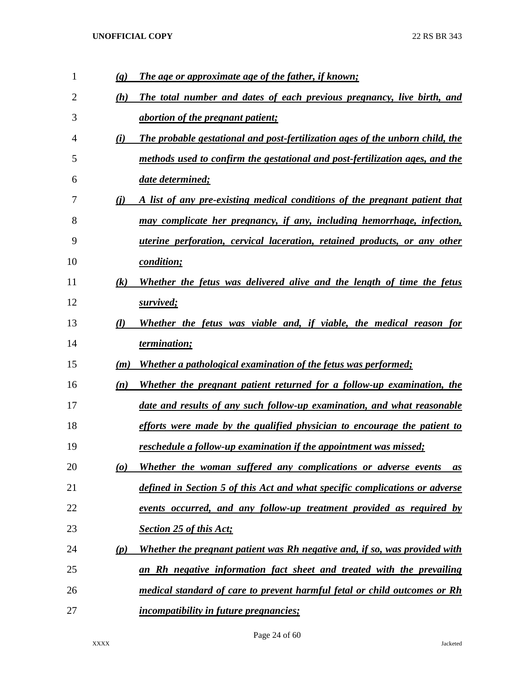| $\mathbf{1}$ | $\left( \mathbf{g} \right)$ | The age or approximate age of the father, if known;                              |
|--------------|-----------------------------|----------------------------------------------------------------------------------|
| 2            | (h)                         | The total number and dates of each previous pregnancy, live birth, and           |
| 3            |                             | <i>abortion of the pregnant patient;</i>                                         |
| 4            | (i)                         | The probable gestational and post-fertilization ages of the unborn child, the    |
| 5            |                             | methods used to confirm the gestational and post-fertilization ages, and the     |
| 6            |                             | date determined;                                                                 |
| 7            | (i)                         | A list of any pre-existing medical conditions of the pregnant patient that       |
| 8            |                             | may complicate her pregnancy, if any, including hemorrhage, infection,           |
| 9            |                             | <i>uterine perforation, cervical laceration, retained products, or any other</i> |
| 10           |                             | condition;                                                                       |
| 11           | (k)                         | Whether the fetus was delivered alive and the length of time the fetus           |
| 12           |                             | survived;                                                                        |
| 13           | (l)                         | Whether the fetus was viable and, if viable, the medical reason for              |
|              |                             |                                                                                  |
| 14           |                             | termination;                                                                     |
| 15           | (m)                         | Whether a pathological examination of the fetus was performed;                   |
| 16           | (n)                         | Whether the pregnant patient returned for a follow-up examination, the           |
| 17           |                             | date and results of any such follow-up examination, and what reasonable          |
| 18           |                             | efforts were made by the qualified physician to encourage the patient to         |
| 19           |                             | reschedule a follow-up examination if the appointment was missed;                |
| 20           | $\boldsymbol{\omega}$       | Whether the woman suffered any complications or adverse events<br>as             |
| 21           |                             | defined in Section 5 of this Act and what specific complications or adverse      |
| 22           |                             | events occurred, and any follow-up treatment provided as required by             |
| 23           |                             | <b>Section 25 of this Act;</b>                                                   |
| 24           | (p)                         | Whether the pregnant patient was Rh negative and, if so, was provided with       |
| 25           |                             | an Rh negative information fact sheet and treated with the prevailing            |
| 26           |                             | medical standard of care to prevent harmful fetal or child outcomes or Rh        |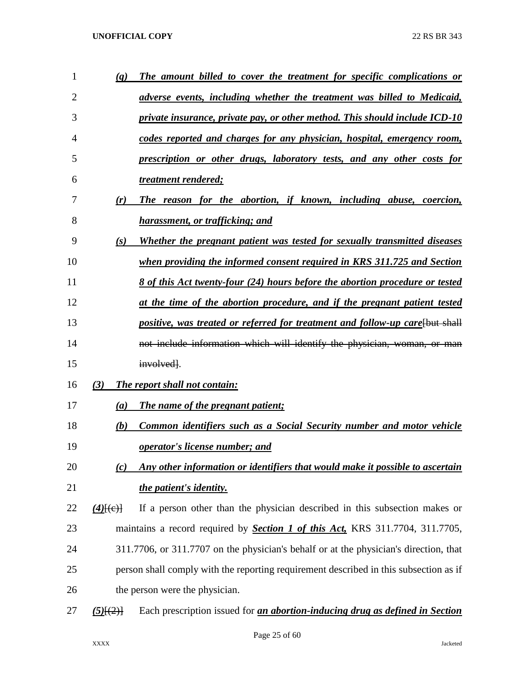| 1  | $\left( q\right)$ | The amount billed to cover the treatment for specific complications or                |
|----|-------------------|---------------------------------------------------------------------------------------|
| 2  |                   | adverse events, including whether the treatment was billed to Medicaid,               |
| 3  |                   | private insurance, private pay, or other method. This should include ICD-10           |
| 4  |                   | codes reported and charges for any physician, hospital, emergency room,               |
| 5  |                   | <u>prescription or other drugs, laboratory tests, and any other costs for</u>         |
| 6  |                   | treatment rendered;                                                                   |
| 7  | (r)               | The reason for the abortion, if known, including abuse, coercion,                     |
| 8  |                   | harassment, or trafficking; and                                                       |
| 9  | (s)               | Whether the pregnant patient was tested for sexually transmitted diseases             |
| 10 |                   | when providing the informed consent required in KRS 311.725 and Section               |
| 11 |                   | <u>8 of this Act twenty-four (24) hours before the abortion procedure or tested</u>   |
| 12 |                   | at the time of the abortion procedure, and if the pregnant patient tested             |
| 13 |                   | positive, was treated or referred for treatment and follow-up care [but shall         |
| 14 |                   | not include information which will identify the physician, woman, or man              |
| 15 |                   | involved.                                                                             |
| 16 | (3)               | <b>The report shall not contain:</b>                                                  |
| 17 | (a)               | The name of the pregnant patient;                                                     |
| 18 | (b)               | <b>Common identifiers such as a Social Security number and motor vehicle</b>          |
| 19 |                   | <i>operator's license number; and</i>                                                 |
| 20 | (c)               | Any other information or identifiers that would make it possible to ascertain         |
| 21 |                   | the patient's identity.                                                               |
| 22 | $(4)$ [(e)]       | If a person other than the physician described in this subsection makes or            |
| 23 |                   | maintains a record required by <b>Section 1 of this Act</b> , KRS 311.7704, 311.7705, |
| 24 |                   | 311.7706, or 311.7707 on the physician's behalf or at the physician's direction, that |
| 25 |                   | person shall comply with the reporting requirement described in this subsection as if |
| 26 |                   | the person were the physician.                                                        |
| 27 | $(5)$ $(2)$       | Each prescription issued for <i>an abortion-inducing drug as defined in Section</i>   |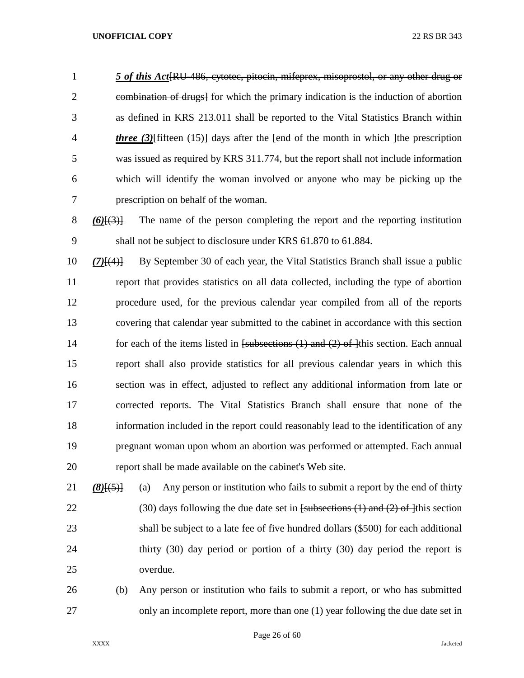*5 of this Act*[RU-486, cytotec, pitocin, mifeprex, misoprostol, or any other drug or combination of drugs] for which the primary indication is the induction of abortion as defined in KRS 213.011 shall be reported to the Vital Statistics Branch within *three (3)*[fifteen (15)] days after the [end of the month in which ]the prescription was issued as required by KRS 311.774, but the report shall not include information which will identify the woman involved or anyone who may be picking up the prescription on behalf of the woman.

 *(6)*[(3)] The name of the person completing the report and the reporting institution shall not be subject to disclosure under KRS 61.870 to 61.884.

 *(7)*[(4)] By September 30 of each year, the Vital Statistics Branch shall issue a public report that provides statistics on all data collected, including the type of abortion procedure used, for the previous calendar year compiled from all of the reports covering that calendar year submitted to the cabinet in accordance with this section 14 for each of the items listed in [subsections (1) and (2) of ]this section. Each annual report shall also provide statistics for all previous calendar years in which this section was in effect, adjusted to reflect any additional information from late or corrected reports. The Vital Statistics Branch shall ensure that none of the information included in the report could reasonably lead to the identification of any pregnant woman upon whom an abortion was performed or attempted. Each annual report shall be made available on the cabinet's Web site.

*(8)*[(5)] (a) Any person or institution who fails to submit a report by the end of thirty 22 (30) days following the due date set in  $f$ subsections (1) and (2) of 1<sup>this</sup> section shall be subject to a late fee of five hundred dollars (\$500) for each additional thirty (30) day period or portion of a thirty (30) day period the report is overdue.

 (b) Any person or institution who fails to submit a report, or who has submitted only an incomplete report, more than one (1) year following the due date set in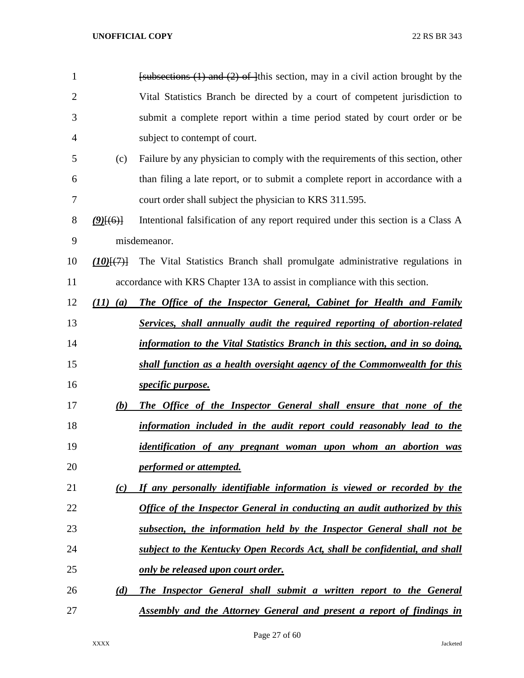| $\mathbf{1}$   |                       | $f_{\text{subsections}}(1)$ and (2) of this section, may in a civil action brought by the |
|----------------|-----------------------|-------------------------------------------------------------------------------------------|
| $\overline{2}$ |                       | Vital Statistics Branch be directed by a court of competent jurisdiction to               |
| 3              |                       | submit a complete report within a time period stated by court order or be                 |
| 4              |                       | subject to contempt of court.                                                             |
| 5              | (c)                   | Failure by any physician to comply with the requirements of this section, other           |
| 6              |                       | than filing a late report, or to submit a complete report in accordance with a            |
| 7              |                       | court order shall subject the physician to KRS 311.595.                                   |
| 8              | $(9)$ $(6)$           | Intentional falsification of any report required under this section is a Class A          |
| 9              |                       | misdemeanor.                                                                              |
| 10             | $(10)$ $\{$ $\}$ $\}$ | The Vital Statistics Branch shall promulgate administrative regulations in                |
| 11             |                       | accordance with KRS Chapter 13A to assist in compliance with this section.                |
| 12             | $(11)$ $(a)$          | The Office of the Inspector General, Cabinet for Health and Family                        |
| 13             |                       | Services, shall annually audit the required reporting of abortion-related                 |
| 14             |                       | information to the Vital Statistics Branch in this section, and in so doing,              |
| 15             |                       | shall function as a health oversight agency of the Commonwealth for this                  |
| 16             |                       | <i>specific purpose.</i>                                                                  |
| 17             | (b)                   | The Office of the Inspector General shall ensure that none of the                         |
| 18             |                       | information included in the audit report could reasonably lead to the                     |
| 19             |                       | identification of any pregnant woman upon whom an abortion was                            |
| 20             |                       | performed or attempted.                                                                   |
| 21             | (c)                   | If any personally identifiable information is viewed or recorded by the                   |
| 22             |                       | Office of the Inspector General in conducting an audit authorized by this                 |
| 23             |                       | subsection, the information held by the Inspector General shall not be                    |
| 24             |                       | subject to the Kentucky Open Records Act, shall be confidential, and shall                |
| 25             |                       | <u>only be released upon court order.</u>                                                 |
| 26             | (d)                   | <b>The Inspector General shall submit a written report to the General</b>                 |
| 27             |                       | <b>Assembly and the Attorney General and present a report of findings in</b>              |

Page 27 of 60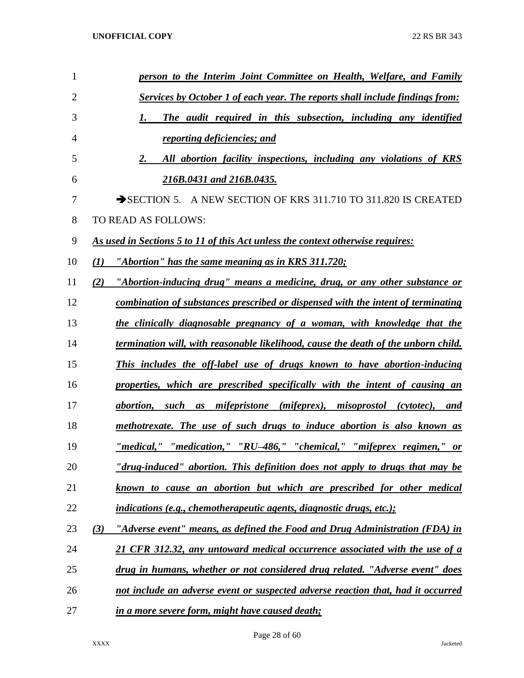| $\mathbf{1}$   | person to the Interim Joint Committee on Health, Welfare, and Family                |
|----------------|-------------------------------------------------------------------------------------|
| $\overline{2}$ | <b>Services by October 1 of each year. The reports shall include findings from:</b> |
| 3              | The audit required in this subsection, including any identified<br>1.               |
| 4              | reporting deficiencies; and                                                         |
| 5              | All abortion facility inspections, including any violations of KRS<br>2.            |
| 6              | 216B.0431 and 216B.0435.                                                            |
| 7              | SECTION 5. A NEW SECTION OF KRS 311.710 TO 311.820 IS CREATED                       |
| 8              | TO READ AS FOLLOWS:                                                                 |
| 9              | As used in Sections 5 to 11 of this Act unless the context otherwise requires:      |
| 10             | "Abortion" has the same meaning as in KRS 311.720;<br>(1)                           |
| 11             | "Abortion-inducing drug" means a medicine, drug, or any other substance or<br>(2)   |
| 12             | combination of substances prescribed or dispensed with the intent of terminating    |
| 13             | the clinically diagnosable pregnancy of a woman, with knowledge that the            |
| 14             | termination will, with reasonable likelihood, cause the death of the unborn child.  |
| 15             | This includes the off-label use of drugs known to have abortion-inducing            |
| 16             | properties, which are prescribed specifically with the intent of causing an         |
| 17             | abortion, such as mifepristone (mifeprex), misoprostol (cytotec), and               |
| 18             | methotrexate. The use of such drugs to induce abortion is also known as             |
| 19             | <u>"medical," "medication," "RU-486," "chemical," "mifeprex regimen," or</u>        |
| 20             | "drug-induced" abortion. This definition does not apply to drugs that may be        |
| 21             | known to cause an abortion but which are prescribed for other medical               |
| 22             | <i>indications (e.g., chemotherapeutic agents, diagnostic drugs, etc.);</i>         |
| 23             | (3)<br>"Adverse event" means, as defined the Food and Drug Administration (FDA) in  |
| 24             | 21 CFR 312.32, any untoward medical occurrence associated with the use of a         |
| 25             | drug in humans, whether or not considered drug related. "Adverse event" does        |
| 26             | not include an adverse event or suspected adverse reaction that, had it occurred    |
| 27             | in a more severe form, might have caused death;                                     |

Page 28 of 60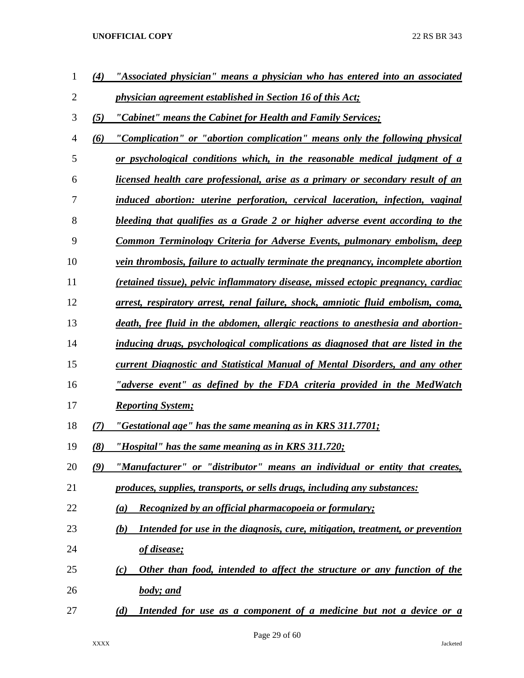| 1  | (4) | "Associated physician" means a physician who has entered into an associated              |
|----|-----|------------------------------------------------------------------------------------------|
| 2  |     | <i>physician agreement established in Section 16 of this Act;</i>                        |
| 3  | (5) | "Cabinet" means the Cabinet for Health and Family Services;                              |
| 4  | (6) | "Complication" or "abortion complication" means only the following physical              |
| 5  |     | <u>or psychological conditions which, in the reasonable medical judgment of a</u>        |
| 6  |     | licensed health care professional, arise as a primary or secondary result of an          |
| 7  |     | induced abortion: uterine perforation, cervical laceration, infection, vaginal           |
| 8  |     | bleeding that qualifies as a Grade 2 or higher adverse event according to the            |
| 9  |     | Common Terminology Criteria for Adverse Events, pulmonary embolism, deep                 |
| 10 |     | <i>vein thrombosis, failure to actually terminate the pregnancy, incomplete abortion</i> |
| 11 |     | (retained tissue), pelvic inflammatory disease, missed ectopic pregnancy, cardiac        |
| 12 |     | arrest, respiratory arrest, renal failure, shock, amniotic fluid embolism, coma,         |
| 13 |     | death, free fluid in the abdomen, allergic reactions to anesthesia and abortion-         |
| 14 |     | inducing drugs, psychological complications as diagnosed that are listed in the          |
| 15 |     | current Diagnostic and Statistical Manual of Mental Disorders, and any other             |
| 16 |     | "adverse event" as defined by the FDA criteria provided in the MedWatch                  |
| 17 |     | <b>Reporting System;</b>                                                                 |
| 18 | (7) | "Gestational age" has the same meaning as in KRS 311.7701;                               |
| 19 | (8) | "Hospital" has the same meaning as in KRS 311.720;                                       |
| 20 | (9) | "Manufacturer" or "distributor" means an individual or entity that creates,              |
| 21 |     | produces, supplies, transports, or sells drugs, including any substances:                |
| 22 |     | Recognized by an official pharmacopoeia or formulary;<br>(a)                             |
| 23 |     | Intended for use in the diagnosis, cure, mitigation, treatment, or prevention<br>(b)     |
| 24 |     | <u>of disease;</u>                                                                       |
| 25 |     | Other than food, intended to affect the structure or any function of the<br>(c)          |
| 26 |     | <b>body</b> ; and                                                                        |
| 27 |     | Intended for use as a component of a medicine but not a device or a<br>(d)               |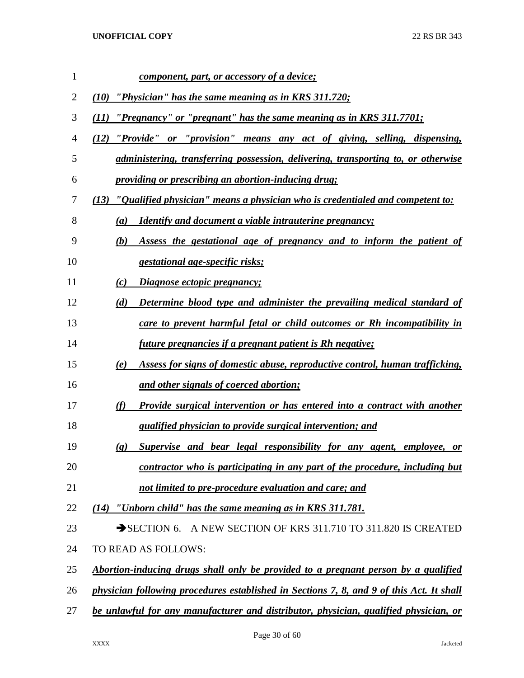| 1  | <u>component, part, or accessory of a device;</u>                                                  |
|----|----------------------------------------------------------------------------------------------------|
| 2  | "Physician" has the same meaning as in KRS 311.720;<br>(10)                                        |
| 3  | "Pregnancy" or "pregnant" has the same meaning as in KRS 311.7701;<br>(11)                         |
| 4  | "Provide" or "provision" means any act of giving, selling, dispensing,<br>(12)                     |
| 5  | <i>administering, transferring possession, delivering, transporting to, or otherwise</i>           |
| 6  | providing or prescribing an abortion-inducing drug;                                                |
| 7  | (13) "Qualified physician" means a physician who is credentialed and competent to:                 |
| 8  | <b>Identify and document a viable intrauterine pregnancy;</b><br>(a)                               |
| 9  | Assess the gestational age of pregnancy and to inform the patient of<br>(b)                        |
| 10 | <i>gestational age-specific risks;</i>                                                             |
| 11 | Diagnose ectopic pregnancy;<br>(c)                                                                 |
| 12 | (d)<br>Determine blood type and administer the prevailing medical standard of                      |
| 13 | care to prevent harmful fetal or child outcomes or Rh incompatibility in                           |
| 14 | <i>future pregnancies if a pregnant patient is Rh negative;</i>                                    |
| 15 | Assess for signs of domestic abuse, reproductive control, human trafficking,<br>(e)                |
| 16 | and other signals of coerced abortion;                                                             |
| 17 | (f)<br>Provide surgical intervention or has entered into a contract with another                   |
| 18 | qualified physician to provide surgical intervention; and                                          |
| 19 | Supervise and bear legal responsibility for any agent, employee, or<br>$\left( \mathbf{g} \right)$ |
| 20 | contractor who is participating in any part of the procedure, including but                        |
| 21 | not limited to pre-procedure evaluation and care; and                                              |
| 22 | $(14)$ "Unborn child" has the same meaning as in KRS 311.781.                                      |
| 23 | SECTION 6. A NEW SECTION OF KRS 311.710 TO 311.820 IS CREATED                                      |
| 24 | TO READ AS FOLLOWS:                                                                                |
| 25 | Abortion-inducing drugs shall only be provided to a pregnant person by a qualified                 |
| 26 | physician following procedures established in Sections 7, 8, and 9 of this Act. It shall           |
| 27 | be unlawful for any manufacturer and distributor, physician, qualified physician, or               |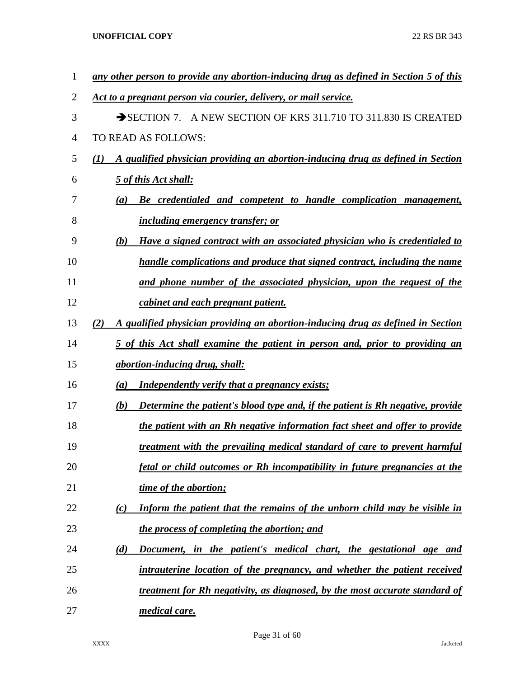| 1              | any other person to provide any abortion-inducing drug as defined in Section 5 of this |
|----------------|----------------------------------------------------------------------------------------|
| $\overline{2}$ | Act to a pregnant person via courier, delivery, or mail service.                       |
| 3              | A NEW SECTION OF KRS 311.710 TO 311.830 IS CREATED<br>$\rightarrow$ SECTION 7.         |
| 4              | TO READ AS FOLLOWS:                                                                    |
| 5              | A qualified physician providing an abortion-inducing drug as defined in Section<br>(I) |
| 6              | 5 of this Act shall:                                                                   |
| 7              | Be credentialed and competent to handle complication management,<br>$\left(a\right)$   |
| 8              | <i>including emergency transfer; or</i>                                                |
| 9              | Have a signed contract with an associated physician who is credentialed to<br>(b)      |
| 10             | handle complications and produce that signed contract, including the name              |
| 11             | and phone number of the associated physician, upon the request of the                  |
| 12             | cabinet and each pregnant patient.                                                     |
| 13             | A qualified physician providing an abortion-inducing drug as defined in Section<br>(2) |
| 14             | 5 of this Act shall examine the patient in person and, prior to providing an           |
| 15             | abortion-inducing drug, shall:                                                         |
| 16             | <b>Independently verify that a pregnancy exists;</b><br>$\left(a\right)$               |
| 17             | Determine the patient's blood type and, if the patient is Rh negative, provide<br>(b)  |
| 18             | the patient with an Rh negative information fact sheet and offer to provide            |
| 19             | treatment with the prevailing medical standard of care to prevent harmful              |
| 20             | fetal or child outcomes or Rh incompatibility in future pregnancies at the             |
| 21             | time of the abortion;                                                                  |
| 22             | Inform the patient that the remains of the unborn child may be visible in<br>(c)       |
| 23             | the process of completing the abortion; and                                            |
| 24             | Document, in the patient's medical chart, the gestational age and<br>(d)               |
| 25             | intrauterine location of the pregnancy, and whether the patient received               |
| 26             | treatment for Rh negativity, as diagnosed, by the most accurate standard of            |
| 27             | medical care.                                                                          |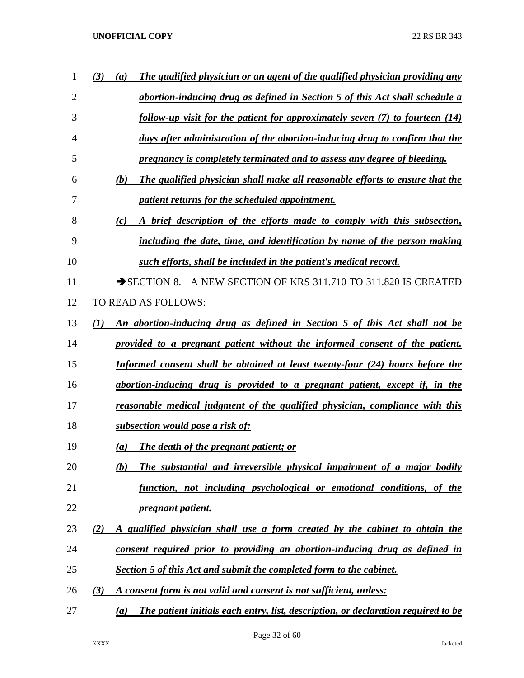| 1              | (3)<br>The qualified physician or an agent of the qualified physician providing any<br>(a) |
|----------------|--------------------------------------------------------------------------------------------|
| $\overline{2}$ | abortion-inducing drug as defined in Section 5 of this Act shall schedule a                |
| 3              | follow-up visit for the patient for approximately seven $(7)$ to fourteen $(14)$           |
| 4              | days after administration of the abortion-inducing drug to confirm that the                |
| 5              | pregnancy is completely terminated and to assess any degree of bleeding.                   |
| 6              | The qualified physician shall make all reasonable efforts to ensure that the<br>(b)        |
| 7              | <i>patient returns for the scheduled appointment.</i>                                      |
| 8              | A brief description of the efforts made to comply with this subsection,<br>(c)             |
| 9              | including the date, time, and identification by name of the person making                  |
| 10             | such efforts, shall be included in the patient's medical record.                           |
| 11             | SECTION 8. A NEW SECTION OF KRS 311.710 TO 311.820 IS CREATED                              |
| 12             | TO READ AS FOLLOWS:                                                                        |
| 13             | An abortion-inducing drug as defined in Section 5 of this Act shall not be<br>(I)          |
| 14             | provided to a pregnant patient without the informed consent of the patient.                |
| 15             | Informed consent shall be obtained at least twenty-four (24) hours before the              |
| 16             | abortion-inducing drug is provided to a pregnant patient, except if, in the                |
| 17             | reasonable medical judgment of the qualified physician, compliance with this               |
| 18             | <u>subsection would pose a risk of:</u>                                                    |
| 19             | <b>The death of the pregnant patient; or</b><br>(a)                                        |
| 20             | The substantial and irreversible physical impairment of a major bodily<br>(b)              |
| 21             | function, not including psychological or emotional conditions, of the                      |
| 22             | <i>pregnant patient.</i>                                                                   |
| 23             | A qualified physician shall use a form created by the cabinet to obtain the<br>(2)         |
| 24             | consent required prior to providing an abortion-inducing drug as defined in                |
| 25             | Section 5 of this Act and submit the completed form to the cabinet.                        |
| 26             | A consent form is not valid and consent is not sufficient, unless:<br>(3)                  |
| 27             | The patient initials each entry, list, description, or declaration required to be<br>(a)   |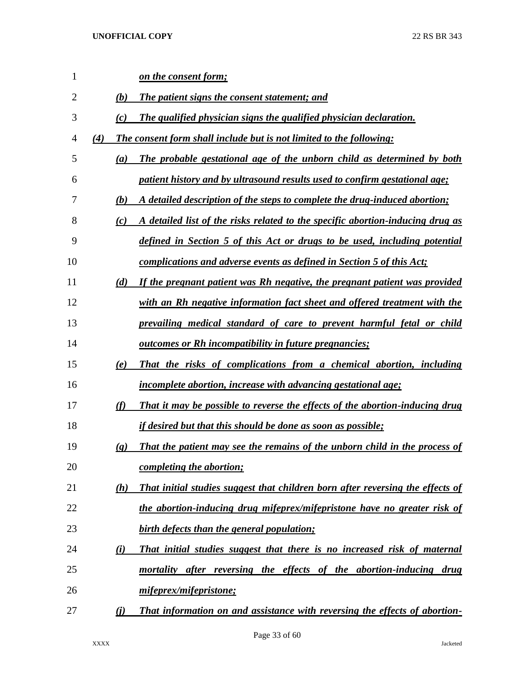| $\mathbf{1}$   |                             | on the consent form;                                                           |
|----------------|-----------------------------|--------------------------------------------------------------------------------|
| $\overline{2}$ | (b)                         | The patient signs the consent statement; and                                   |
| 3              | (c)                         | The qualified physician signs the qualified physician declaration.             |
| $\overline{4}$ | (4)                         | The consent form shall include but is not limited to the following:            |
| 5              | (a)                         | The probable gestational age of the unborn child as determined by both         |
| 6              |                             | patient history and by ultrasound results used to confirm gestational age;     |
| 7              | (b)                         | A detailed description of the steps to complete the drug-induced abortion;     |
| 8              | (c)                         | A detailed list of the risks related to the specific abortion-inducing drug as |
| 9              |                             | defined in Section 5 of this Act or drugs to be used, including potential      |
| 10             |                             | <u>complications and adverse events as defined in Section 5 of this Act;</u>   |
| 11             | (d)                         | If the pregnant patient was Rh negative, the pregnant patient was provided     |
| 12             |                             | with an Rh negative information fact sheet and offered treatment with the      |
| 13             |                             | prevailing medical standard of care to prevent harmful fetal or child          |
| 14             |                             | <u>outcomes or Rh incompatibility in future pregnancies;</u>                   |
| 15             | (e)                         | That the risks of complications from a chemical abortion, including            |
| 16             |                             | <i>incomplete abortion, increase with advancing gestational age;</i>           |
| 17             | (f)                         | That it may be possible to reverse the effects of the abortion-inducing drug   |
| 18             |                             | <u>if desired but that this should be done as soon as possible;</u>            |
| 19             | $\left( \mathbf{g} \right)$ | That the patient may see the remains of the unborn child in the process of     |
| 20             |                             | <u>completing the abortion;</u>                                                |
| 21             | (h)                         | That initial studies suggest that children born after reversing the effects of |
| 22             |                             | the abortion-inducing drug mifeprex/mifepristone have no greater risk of       |
| 23             |                             | birth defects than the general population;                                     |
| 24             | (i)                         | That initial studies suggest that there is no increased risk of maternal       |
| 25             |                             | mortality after reversing the effects of the abortion-inducing drug            |
| 26             |                             | mifeprex/mifepristone;                                                         |
| 27             | (i)                         | That information on and assistance with reversing the effects of abortion-     |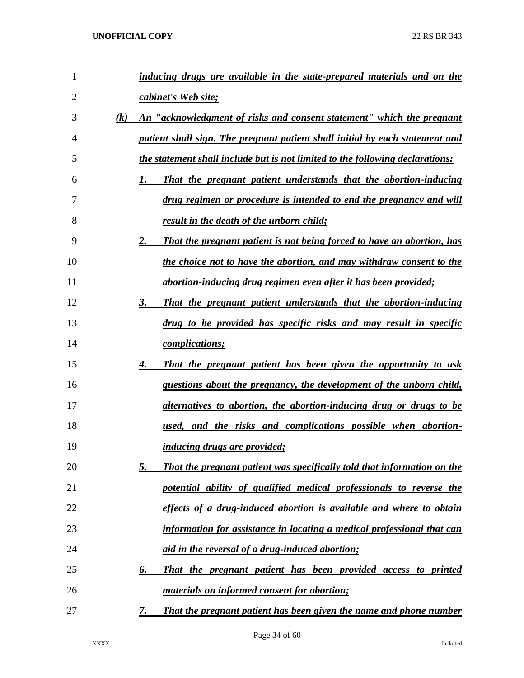| $\mathbf{1}$   |     | inducing drugs are available in the state-prepared materials and on the       |
|----------------|-----|-------------------------------------------------------------------------------|
| $\overline{2}$ |     | cabinet's Web site;                                                           |
| 3              | (k) | An "acknowledgment of risks and consent statement" which the pregnant         |
| 4              |     | patient shall sign. The pregnant patient shall initial by each statement and  |
| 5              |     | the statement shall include but is not limited to the following declarations: |
| 6              |     | That the pregnant patient understands that the abortion-inducing<br>1.        |
| 7              |     | <u>drug regimen or procedure is intended to end the pregnancy and will</u>    |
| 8              |     | result in the death of the unborn child;                                      |
| 9              |     | 2.<br>That the pregnant patient is not being forced to have an abortion, has  |
| 10             |     | <u>the choice not to have the abortion, and may withdraw consent to the</u>   |
| 11             |     | abortion-inducing drug regimen even after it has been provided;               |
| 12             |     | 3.<br>That the pregnant patient understands that the abortion-inducing        |
| 13             |     | drug to be provided has specific risks and may result in specific             |
| 14             |     | <i>complications;</i>                                                         |
| 15             |     | That the pregnant patient has been given the opportunity to ask<br>4.         |
| 16             |     | <u>questions about the pregnancy, the development of the unborn child,</u>    |
| 17             |     | <u>alternatives to abortion, the abortion-inducing drug or drugs to be</u>    |
| 18             |     | used, and the risks and complications possible when abortion-                 |
| 19             |     | <i>inducing drugs are provided;</i>                                           |
| 20             |     | 5.<br>That the pregnant patient was specifically told that information on the |
| 21             |     | potential ability of qualified medical professionals to reverse the           |
| 22             |     | effects of a drug-induced abortion is available and where to obtain           |
| 23             |     | information for assistance in locating a medical professional that can        |
| 24             |     | <u>aid in the reversal of a drug-induced abortion;</u>                        |
| 25             |     | 6.<br>That the pregnant patient has been provided access to printed           |
| 26             |     | <i>materials on informed consent for abortion;</i>                            |
| 27             |     | 7.<br>That the pregnant patient has been given the name and phone number      |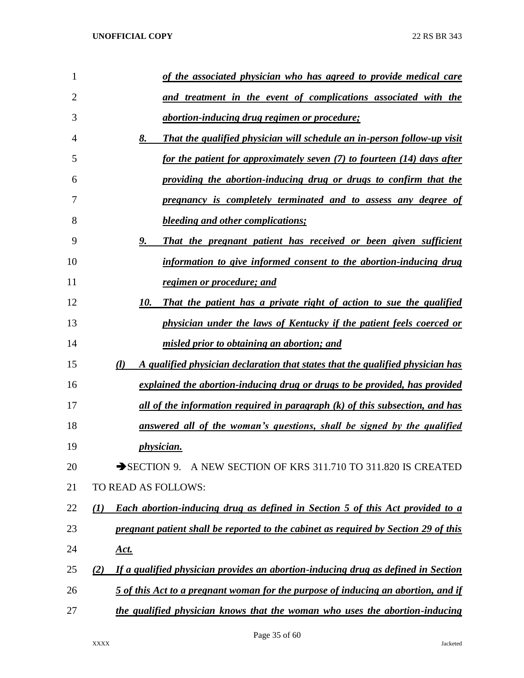| $\mathbf{1}$   | of the associated physician who has agreed to provide medical care                          |
|----------------|---------------------------------------------------------------------------------------------|
|                |                                                                                             |
| $\overline{2}$ | and treatment in the event of complications associated with the                             |
| 3              | <i>abortion-inducing drug regimen or procedure;</i>                                         |
| 4              | 8.<br><b>That the qualified physician will schedule an in-person follow-up visit</b>        |
| 5              | for the patient for approximately seven (7) to fourteen (14) days after                     |
| 6              | providing the abortion-inducing drug or drugs to confirm that the                           |
| 7              | pregnancy is completely terminated and to assess any degree of                              |
| 8              | <b>bleeding and other complications;</b>                                                    |
| 9              | 9.<br>That the pregnant patient has received or been given sufficient                       |
| 10             | information to give informed consent to the abortion-inducing drug                          |
| 11             | regimen or procedure; and                                                                   |
| 12             | 10.<br>That the patient has a private right of action to sue the qualified                  |
| 13             | physician under the laws of Kentucky if the patient feels coerced or                        |
| 14             | misled prior to obtaining an abortion; and                                                  |
| 15             | (l)<br>A qualified physician declaration that states that the qualified physician has       |
| 16             | explained the abortion-inducing drug or drugs to be provided, has provided                  |
| 17             | <u>all of the information required in paragraph (k) of this subsection, and has</u>         |
| 18             | answered all of the woman's questions, shall be signed by the qualified                     |
| 19             | <i>physician.</i>                                                                           |
| 20             | SECTION 9. A NEW SECTION OF KRS 311.710 TO 311.820 IS CREATED                               |
| 21             | TO READ AS FOLLOWS:                                                                         |
| 22             | <b>Each abortion-inducing drug as defined in Section 5 of this Act provided to a</b><br>(1) |
| 23             | pregnant patient shall be reported to the cabinet as required by Section 29 of this         |
| 24             | <u>Act.</u>                                                                                 |
| 25             | If a qualified physician provides an abortion-inducing drug as defined in Section<br>(2)    |
| 26             | 5 of this Act to a pregnant woman for the purpose of inducing an abortion, and if           |
| 27             | the qualified physician knows that the woman who uses the abortion-inducing                 |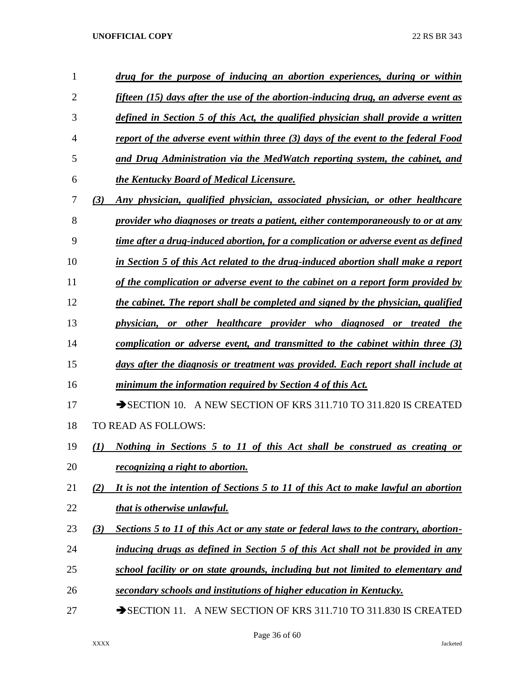| 1              | drug for the purpose of inducing an abortion experiences, during or within                  |
|----------------|---------------------------------------------------------------------------------------------|
| $\overline{2}$ | fifteen $(15)$ days after the use of the abortion-inducing drug, an adverse event as        |
| 3              | defined in Section 5 of this Act, the qualified physician shall provide a written           |
| 4              | report of the adverse event within three (3) days of the event to the federal Food          |
| 5              | and Drug Administration via the MedWatch reporting system, the cabinet, and                 |
| 6              | the Kentucky Board of Medical Licensure.                                                    |
| 7              | Any physician, qualified physician, associated physician, or other healthcare<br>(3)        |
| 8              | provider who diagnoses or treats a patient, either contemporaneously to or at any           |
| 9              | time after a drug-induced abortion, for a complication or adverse event as defined          |
| 10             | in Section 5 of this Act related to the drug-induced abortion shall make a report           |
| 11             | of the complication or adverse event to the cabinet on a report form provided by            |
| 12             | the cabinet. The report shall be completed and signed by the physician, qualified           |
| 13             | physician, or other healthcare provider who diagnosed or treated the                        |
| 14             | complication or adverse event, and transmitted to the cabinet within three $(3)$            |
| 15             | days after the diagnosis or treatment was provided. Each report shall include at            |
| 16             | minimum the information required by Section 4 of this Act.                                  |
| 17             | A NEW SECTION OF KRS 311.710 TO 311.820 IS CREATED<br>$\rightarrow$ SECTION 10.             |
| 18             | TO READ AS FOLLOWS:                                                                         |
| 19             | Nothing in Sections 5 to 11 of this Act shall be construed as creating or<br>(1)            |
| 20             | <i>recognizing a right to abortion.</i>                                                     |
| 21             | It is not the intention of Sections 5 to 11 of this Act to make lawful an abortion<br>(2)   |
| 22             | that is otherwise unlawful.                                                                 |
| 23             | (3)<br>Sections 5 to 11 of this Act or any state or federal laws to the contrary, abortion- |
| 24             | inducing drugs as defined in Section 5 of this Act shall not be provided in any             |
| 25             | school facility or on state grounds, including but not limited to elementary and            |
| 26             | secondary schools and institutions of higher education in Kentucky.                         |
| 27             | SECTION 11. A NEW SECTION OF KRS 311.710 TO 311.830 IS CREATED                              |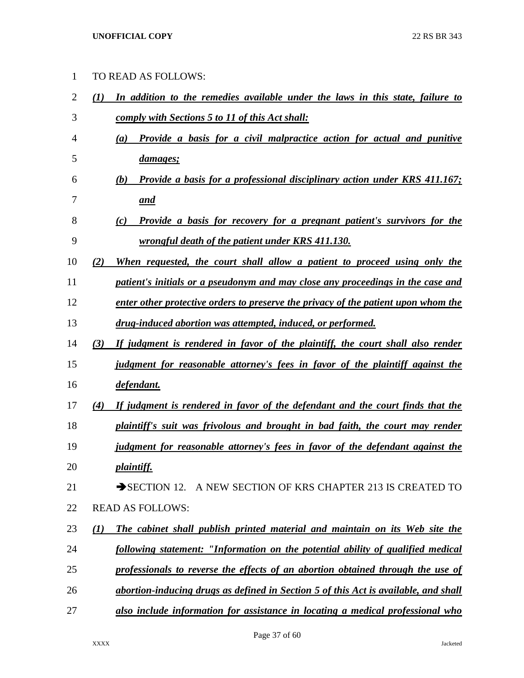TO READ AS FOLLOWS:

 *(1) In addition to the remedies available under the laws in this state, failure to comply with Sections 5 to 11 of this Act shall: (a) Provide a basis for a civil malpractice action for actual and punitive damages; (b) Provide a basis for a professional disciplinary action under KRS 411.167; and (c) Provide a basis for recovery for a pregnant patient's survivors for the wrongful death of the patient under KRS 411.130. (2) When requested, the court shall allow a patient to proceed using only the patient's initials or a pseudonym and may close any proceedings in the case and enter other protective orders to preserve the privacy of the patient upon whom the drug-induced abortion was attempted, induced, or performed. (3) If judgment is rendered in favor of the plaintiff, the court shall also render judgment for reasonable attorney's fees in favor of the plaintiff against the defendant. (4) If judgment is rendered in favor of the defendant and the court finds that the plaintiff's suit was frivolous and brought in bad faith, the court may render judgment for reasonable attorney's fees in favor of the defendant against the plaintiff.* 21 SECTION 12. A NEW SECTION OF KRS CHAPTER 213 IS CREATED TO READ AS FOLLOWS: *(1) The cabinet shall publish printed material and maintain on its Web site the following statement: "Information on the potential ability of qualified medical professionals to reverse the effects of an abortion obtained through the use of abortion-inducing drugs as defined in Section 5 of this Act is available, and shall also include information for assistance in locating a medical professional who*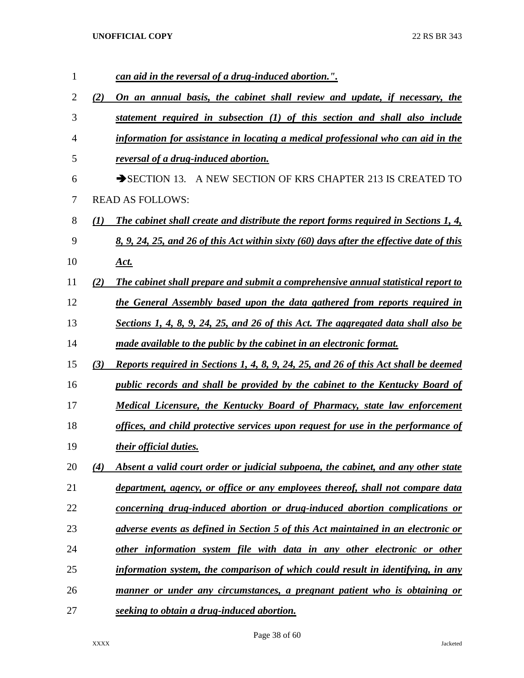| 1  |     | can aid in the reversal of a drug-induced abortion.".                                    |
|----|-----|------------------------------------------------------------------------------------------|
| 2  | (2) | On an annual basis, the cabinet shall review and update, if necessary, the               |
| 3  |     | statement required in subsection (1) of this section and shall also include              |
| 4  |     | information for assistance in locating a medical professional who can aid in the         |
| 5  |     | reversal of a drug-induced abortion.                                                     |
| 6  |     | SECTION 13. A NEW SECTION OF KRS CHAPTER 213 IS CREATED TO                               |
| 7  |     | <b>READ AS FOLLOWS:</b>                                                                  |
| 8  | (1) | The cabinet shall create and distribute the report forms required in Sections 1, 4,      |
| 9  |     | 8, 9, 24, 25, and 26 of this Act within sixty (60) days after the effective date of this |
| 10 |     | <u>Act.</u>                                                                              |
| 11 | (2) | The cabinet shall prepare and submit a comprehensive annual statistical report to        |
| 12 |     | the General Assembly based upon the data gathered from reports required in               |
| 13 |     | Sections 1, 4, 8, 9, 24, 25, and 26 of this Act. The aggregated data shall also be       |
| 14 |     | made available to the public by the cabinet in an electronic format.                     |
| 15 | (3) | Reports required in Sections 1, 4, 8, 9, 24, 25, and 26 of this Act shall be deemed      |
| 16 |     | public records and shall be provided by the cabinet to the Kentucky Board of             |
| 17 |     | <b>Medical Licensure, the Kentucky Board of Pharmacy, state law enforcement</b>          |
| 18 |     | offices, and child protective services upon request for use in the performance of        |
| 19 |     | their official duties.                                                                   |
| 20 | (4) | Absent a valid court order or judicial subpoena, the cabinet, and any other state        |
| 21 |     | department, agency, or office or any employees thereof, shall not compare data           |
| 22 |     | concerning drug-induced abortion or drug-induced abortion complications or               |
| 23 |     | adverse events as defined in Section 5 of this Act maintained in an electronic or        |
| 24 |     | other information system file with data in any other electronic or other                 |
| 25 |     | information system, the comparison of which could result in identifying, in any          |
| 26 |     | manner or under any circumstances, a pregnant patient who is obtaining or                |
| 27 |     | seeking to obtain a drug-induced abortion.                                               |

Page 38 of 60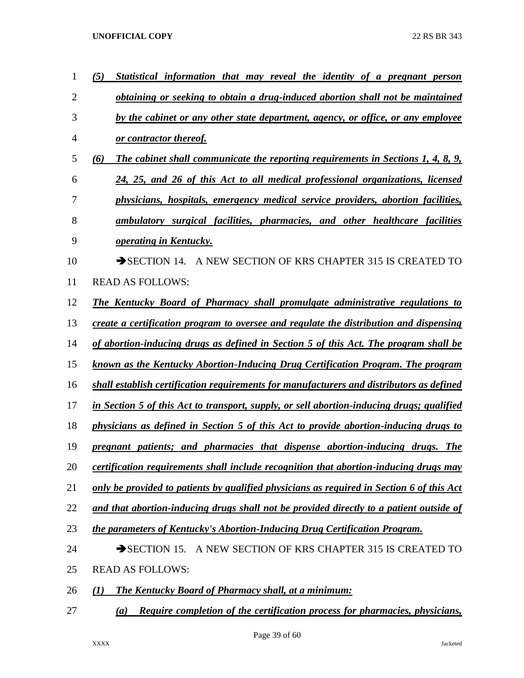| 1              | (5)<br>Statistical information that may reveal the identity of a pregnant person          |
|----------------|-------------------------------------------------------------------------------------------|
| $\overline{2}$ | obtaining or seeking to obtain a drug-induced abortion shall not be maintained            |
| 3              | by the cabinet or any other state department, agency, or office, or any employee          |
| 4              | or contractor thereof.                                                                    |
| 5              | The cabinet shall communicate the reporting requirements in Sections 1, 4, 8, 9,<br>(6)   |
| 6              | 24, 25, and 26 of this Act to all medical professional organizations, licensed            |
| 7              | physicians, hospitals, emergency medical service providers, abortion facilities,          |
| 8              | ambulatory surgical facilities, pharmacies, and other healthcare facilities               |
| 9              | operating in Kentucky.                                                                    |
| 10             | SECTION 14. A NEW SECTION OF KRS CHAPTER 315 IS CREATED TO                                |
| 11             | <b>READ AS FOLLOWS:</b>                                                                   |
| 12             | <b>The Kentucky Board of Pharmacy shall promulgate administrative regulations to</b>      |
| 13             | create a certification program to oversee and regulate the distribution and dispensing    |
| 14             | of abortion-inducing drugs as defined in Section 5 of this Act. The program shall be      |
| 15             | known as the Kentucky Abortion-Inducing Drug Certification Program. The program           |
| 16             | shall establish certification requirements for manufacturers and distributors as defined  |
| 17             | in Section 5 of this Act to transport, supply, or sell abortion-inducing drugs; qualified |
| 18             | physicians as defined in Section 5 of this Act to provide abortion-inducing drugs to      |
| 19             | pregnant patients; and pharmacies that dispense abortion-inducing drugs. The              |
| 20             | certification requirements shall include recognition that abortion-inducing drugs may     |
| 21             | only be provided to patients by qualified physicians as required in Section 6 of this Act |
| 22             | and that abortion-inducing drugs shall not be provided directly to a patient outside of   |
| 23             | the parameters of Kentucky's Abortion-Inducing Drug Certification Program.                |
| 24             | $\rightarrow$ SECTION 15.<br>A NEW SECTION OF KRS CHAPTER 315 IS CREATED TO               |
| 25             | <b>READ AS FOLLOWS:</b>                                                                   |
| 26             | <b>The Kentucky Board of Pharmacy shall, at a minimum:</b><br>(1)                         |
| 27             | Require completion of the certification process for pharmacies, physicians,<br>(a)        |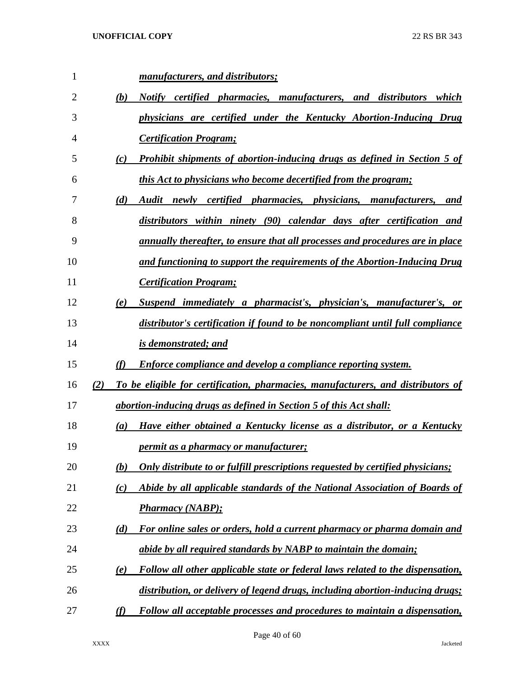| 1  |     |                  | manufacturers, and distributors;                                                 |
|----|-----|------------------|----------------------------------------------------------------------------------|
| 2  |     | (b)              | Notify certified pharmacies, manufacturers, and distributors<br>which            |
| 3  |     |                  | physicians are certified under the Kentucky Abortion-Inducing Drug               |
| 4  |     |                  | <b>Certification Program;</b>                                                    |
| 5  |     | (c)              | <b>Prohibit shipments of abortion-inducing drugs as defined in Section 5 of</b>  |
| 6  |     |                  | this Act to physicians who become decertified from the program;                  |
| 7  |     | (d)              | Audit newly certified pharmacies, physicians, manufacturers,<br>and              |
| 8  |     |                  | distributors within ninety (90) calendar days after certification and            |
| 9  |     |                  | annually thereafter, to ensure that all processes and procedures are in place    |
| 10 |     |                  | and functioning to support the requirements of the Abortion-Inducing Drug        |
| 11 |     |                  | <b>Certification Program;</b>                                                    |
| 12 |     | (e)              | Suspend immediately a pharmacist's, physician's, manufacturer's, or              |
| 13 |     |                  | distributor's certification if found to be noncompliant until full compliance    |
| 14 |     |                  | <i>is demonstrated; and</i>                                                      |
| 15 |     | (f)              | <b>Enforce compliance and develop a compliance reporting system.</b>             |
| 16 | (2) |                  | To be eligible for certification, pharmacies, manufacturers, and distributors of |
| 17 |     |                  | abortion-inducing drugs as defined in Section 5 of this Act shall:               |
| 18 |     | $\left(a\right)$ | Have either obtained a Kentucky license as a distributor, or a Kentucky          |
| 19 |     |                  | <i>permit as a pharmacy or manufacturer;</i>                                     |
| 20 |     | (b)              | Only distribute to or fulfill prescriptions requested by certified physicians;   |
| 21 |     | (c)              | Abide by all applicable standards of the National Association of Boards of       |
| 22 |     |                  | <b>Pharmacy (NABP);</b>                                                          |
| 23 |     | (d)              | For online sales or orders, hold a current pharmacy or pharma domain and         |
| 24 |     |                  | abide by all required standards by NABP to maintain the domain;                  |
|    |     | <u>(e)</u>       | Follow all other applicable state or federal laws related to the dispensation,   |
| 25 |     |                  |                                                                                  |
| 26 |     |                  | distribution, or delivery of legend drugs, including abortion-inducing drugs;    |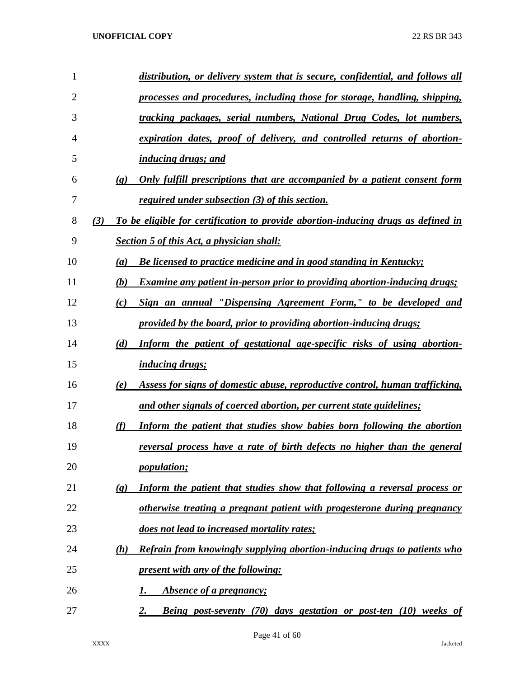| 1              |                             | distribution, or delivery system that is secure, confidential, and follows all    |
|----------------|-----------------------------|-----------------------------------------------------------------------------------|
| $\overline{2}$ |                             | processes and procedures, including those for storage, handling, shipping,        |
| 3              |                             | tracking packages, serial numbers, National Drug Codes, lot numbers,              |
| 4              |                             | expiration dates, proof of delivery, and controlled returns of abortion-          |
| 5              |                             | <i>inducing drugs; and</i>                                                        |
| 6              | $\left( \mathbf{g} \right)$ | Only fulfill prescriptions that are accompanied by a patient consent form         |
| 7              |                             | <i>required under subsection (3) of this section.</i>                             |
| 8              | (3)                         | To be eligible for certification to provide abortion-inducing drugs as defined in |
| 9              |                             | <b>Section 5 of this Act, a physician shall:</b>                                  |
| 10             | (a)                         | Be licensed to practice medicine and in good standing in Kentucky;                |
| 11             | (b)                         | <b>Examine any patient in-person prior to providing abortion-inducing drugs;</b>  |
| 12             | (c)                         | Sign an annual "Dispensing Agreement Form," to be developed and                   |
| 13             |                             | provided by the board, prior to providing abortion-inducing drugs;                |
| 14             | (d)                         | Inform the patient of gestational age-specific risks of using abortion-           |
| 15             |                             | <i>inducing drugs;</i>                                                            |
| 16             | (e)                         | Assess for signs of domestic abuse, reproductive control, human trafficking,      |
| 17             |                             | and other signals of coerced abortion, per current state guidelines;              |
| 18             | (f)                         | Inform the patient that studies show babies born following the abortion           |
| 19             |                             | reversal process have a rate of birth defects no higher than the general          |
| 20             |                             | <i>population;</i>                                                                |
| 21             | $\left( \mathbf{g}\right)$  | Inform the patient that studies show that following a reversal process or         |
| 22             |                             | otherwise treating a pregnant patient with progesterone during pregnancy          |
| 23             |                             | does not lead to increased mortality rates;                                       |
| 24             | (h)                         | Refrain from knowingly supplying abortion-inducing drugs to patients who          |
| 25             |                             | present with any of the following:                                                |
| 26             |                             | Absence of a pregnancy;<br>I.                                                     |
| 27             |                             | <b>Being post-seventy (70) days gestation or post-ten (10) weeks of</b><br>2.     |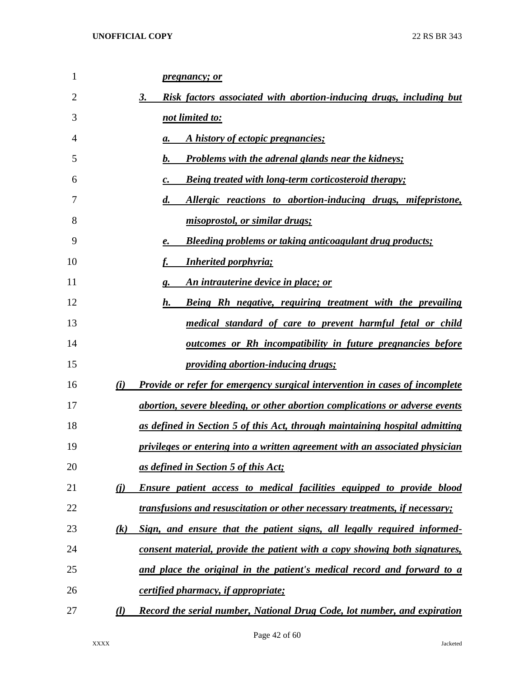| 1  | <i>pregnancy; or</i>                                                                         |
|----|----------------------------------------------------------------------------------------------|
| 2  | 3.<br>Risk factors associated with abortion-inducing drugs, including but                    |
| 3  | not limited to:                                                                              |
| 4  | A history of ectopic pregnancies;<br>a.                                                      |
| 5  | <b>Problems with the adrenal glands near the kidneys;</b><br>b.                              |
| 6  | <b>Being treated with long-term corticosteroid therapy;</b><br>c.                            |
| 7  | Allergic reactions to abortion-inducing drugs, mifepristone,<br>$\boldsymbol{d}$ .           |
| 8  | misoprostol, or similar drugs;                                                               |
| 9  | <b>Bleeding problems or taking anticoagulant drug products;</b><br>е.                        |
| 10 | <b>Inherited porphyria;</b>                                                                  |
| 11 | An intrauterine device in place; or<br>g.                                                    |
| 12 | h.<br>Being Rh negative, requiring treatment with the prevailing                             |
| 13 | medical standard of care to prevent harmful fetal or child                                   |
| 14 | <u>outcomes or Rh incompatibility in future pregnancies before</u>                           |
| 15 | <i><u><b>providing abortion-inducing drugs;</b></u></i>                                      |
| 16 | (i)<br><b>Provide or refer for emergency surgical intervention in cases of incomplete</b>    |
| 17 | abortion, severe bleeding, or other abortion complications or adverse events                 |
| 18 | <u>as defined in Section 5 of this Act, through maintaining hospital admitting</u>           |
| 19 | privileges or entering into a written agreement with an associated physician                 |
| 20 | as defined in Section 5 of this Act;                                                         |
| 21 | $\bf(i)$<br><b>Ensure patient access to medical facilities equipped to provide blood</b>     |
| 22 | transfusions and resuscitation or other necessary treatments, if necessary;                  |
| 23 | Sign, and ensure that the patient signs, all legally required informed-<br>$\left( k\right)$ |
| 24 | consent material, provide the patient with a copy showing both signatures,                   |
| 25 | and place the original in the patient's medical record and forward to a                      |
| 26 | certified pharmacy, if appropriate;                                                          |
| 27 | Record the serial number, National Drug Code, lot number, and expiration<br>$\mathcal{L}$    |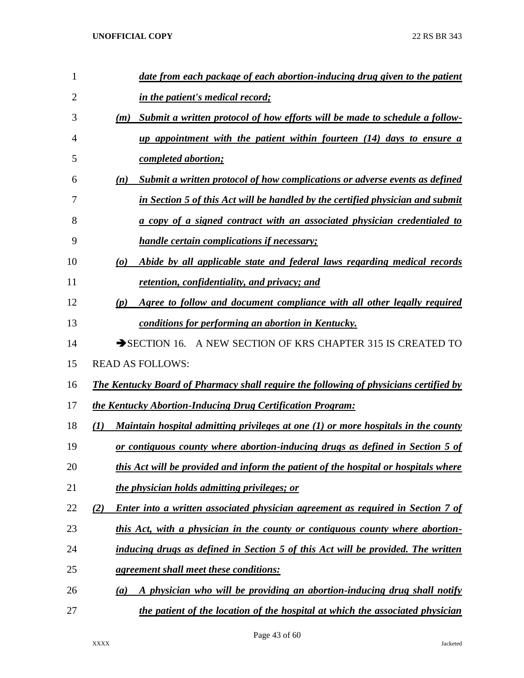| 1              | date from each package of each abortion-inducing drug given to the patient                                  |
|----------------|-------------------------------------------------------------------------------------------------------------|
| $\overline{2}$ | <i>in the patient's medical record;</i>                                                                     |
| 3              | Submit a written protocol of how efforts will be made to schedule a follow-<br>(m)                          |
| $\overline{4}$ | up appointment with the patient within fourteen (14) days to ensure a                                       |
| 5              | <i>completed abortion;</i>                                                                                  |
| 6              | Submit a written protocol of how complications or adverse events as defined<br>(n)                          |
| 7              | in Section 5 of this Act will be handled by the certified physician and submit                              |
| 8              | a copy of a signed contract with an associated physician credentialed to                                    |
| 9              | <i>handle certain complications if necessary;</i>                                                           |
| 10             | Abide by all applicable state and federal laws regarding medical records<br>$\boldsymbol{\left( o \right)}$ |
| 11             | <u>retention, confidentiality, and privacy; and </u>                                                        |
| 12             | Agree to follow and document compliance with all other legally required<br>(p)                              |
| 13             | conditions for performing an abortion in Kentucky.                                                          |
| 14             | SECTION 16. A NEW SECTION OF KRS CHAPTER 315 IS CREATED TO                                                  |
| 15             | <b>READ AS FOLLOWS:</b>                                                                                     |
| 16             | The Kentucky Board of Pharmacy shall require the following of physicians certified by                       |
| 17             | the Kentucky Abortion-Inducing Drug Certification Program:                                                  |
| 18             | Maintain hospital admitting privileges at one (1) or more hospitals in the county<br>(1)                    |
| 19             | or contiguous county where abortion-inducing drugs as defined in Section 5 of                               |
| 20             | this Act will be provided and inform the patient of the hospital or hospitals where                         |
| 21             | the physician holds admitting privileges; or                                                                |
| 22             | (2)<br>Enter into a written associated physician agreement as required in Section 7 of                      |
| 23             | this Act, with a physician in the county or contiguous county where abortion-                               |
| 24             | inducing drugs as defined in Section 5 of this Act will be provided. The written                            |
| 25             | agreement shall meet these conditions:                                                                      |
| 26             | A physician who will be providing an abortion-inducing drug shall notify<br>(a)                             |
| 27             | the patient of the location of the hospital at which the associated physician                               |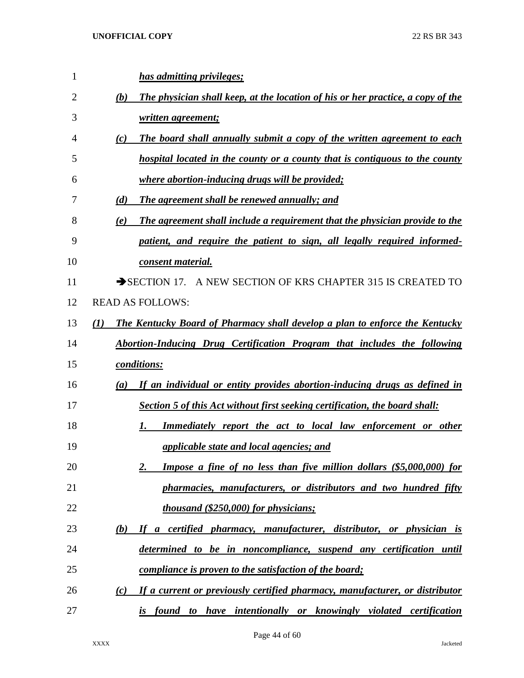| 1  | has admitting privileges;                                                                 |
|----|-------------------------------------------------------------------------------------------|
| 2  | The physician shall keep, at the location of his or her practice, a copy of the<br>(b)    |
| 3  | written agreement;                                                                        |
| 4  | The board shall annually submit a copy of the written agreement to each<br>(c)            |
| 5  | hospital located in the county or a county that is contiguous to the county               |
| 6  | <i>where abortion-inducing drugs will be provided;</i>                                    |
| 7  | The agreement shall be renewed annually; and<br>(d)                                       |
| 8  | The agreement shall include a requirement that the physician provide to the<br>(e)        |
| 9  | patient, and require the patient to sign, all legally required informed-                  |
| 10 | consent material.                                                                         |
| 11 | SECTION 17. A NEW SECTION OF KRS CHAPTER 315 IS CREATED TO                                |
| 12 | <b>READ AS FOLLOWS:</b>                                                                   |
| 13 | <b>The Kentucky Board of Pharmacy shall develop a plan to enforce the Kentucky</b><br>(1) |
| 14 | <b>Abortion-Inducing Drug Certification Program that includes the following</b>           |
| 15 | conditions:                                                                               |
| 16 | If an individual or entity provides abortion-inducing drugs as defined in<br>(a)          |
| 17 | Section 5 of this Act without first seeking certification, the board shall:               |
| 18 | Immediately report the act to local law enforcement or other<br>1.                        |
| 19 | applicable state and local agencies; and                                                  |
| 20 | Impose a fine of no less than five million dollars (\$5,000,000) for<br>2.                |
| 21 | pharmacies, manufacturers, or distributors and two hundred fifty                          |
| 22 | thousand (\$250,000) for physicians;                                                      |
| 23 | If a certified pharmacy, manufacturer, distributor, or physician is<br>(b)                |
| 24 | determined to be in noncompliance, suspend any certification until                        |
| 25 | <i>compliance is proven to the satisfaction of the board;</i>                             |
| 26 | If a current or previously certified pharmacy, manufacturer, or distributor<br>(c)        |
| 27 | found to have intentionally or knowingly violated certification<br>$\dot{I}S$             |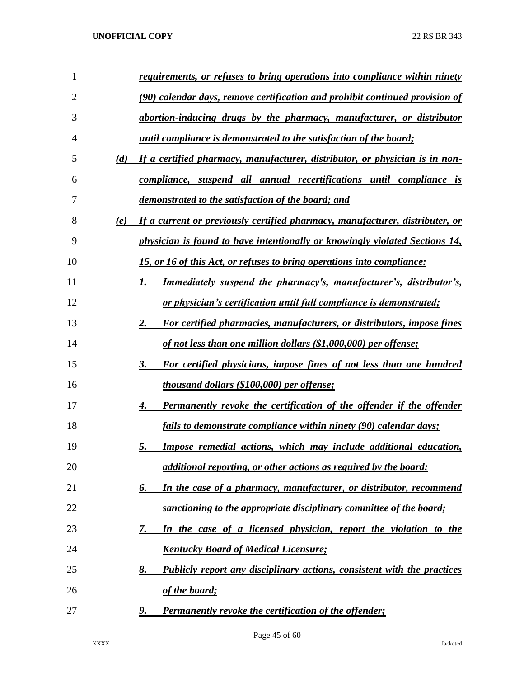| 1              |     | requirements, or refuses to bring operations into compliance within ninety    |
|----------------|-----|-------------------------------------------------------------------------------|
| $\overline{2}$ |     | (90) calendar days, remove certification and prohibit continued provision of  |
| 3              |     | abortion-inducing drugs by the pharmacy, manufacturer, or distributor         |
| 4              |     | until compliance is demonstrated to the satisfaction of the board;            |
| 5              | (d) | If a certified pharmacy, manufacturer, distributor, or physician is in non-   |
| 6              |     | compliance, suspend all annual recertifications until compliance is           |
| 7              |     | demonstrated to the satisfaction of the board; and                            |
| 8              | (e) | If a current or previously certified pharmacy, manufacturer, distributer, or  |
| 9              |     | physician is found to have intentionally or knowingly violated Sections 14,   |
| 10             |     | 15, or 16 of this Act, or refuses to bring operations into compliance:        |
| 11             |     | <u>Immediately suspend the pharmacy's, manufacturer's, distributor's,</u>     |
| 12             |     | or physician's certification until full compliance is demonstrated;           |
| 13             |     | For certified pharmacies, manufacturers, or distributors, impose fines<br>2.  |
| 14             |     | of not less than one million dollars (\$1,000,000) per offense;               |
| 15             |     | For certified physicians, impose fines of not less than one hundred<br>3.     |
| 16             |     | <i>thousand dollars (\$100,000) per offense;</i>                              |
| 17             |     | Permanently revoke the certification of the offender if the offender<br>4.    |
| 18             |     | fails to demonstrate compliance within ninety (90) calendar days;             |
| 19             |     | Impose remedial actions, which may include additional education,<br>5.        |
| 20             |     | additional reporting, or other actions as required by the board;              |
| 21             |     | In the case of a pharmacy, manufacturer, or distributor, recommend<br>6.      |
| 22             |     | sanctioning to the appropriate disciplinary committee of the board;           |
| 23             |     | In the case of a licensed physician, report the violation to the<br>7.        |
| 24             |     | <b>Kentucky Board of Medical Licensure;</b>                                   |
| 25             |     | Publicly report any disciplinary actions, consistent with the practices<br>8. |
| 26             |     | of the board;                                                                 |
| 27             |     | <b>Permanently revoke the certification of the offender;</b><br>9.            |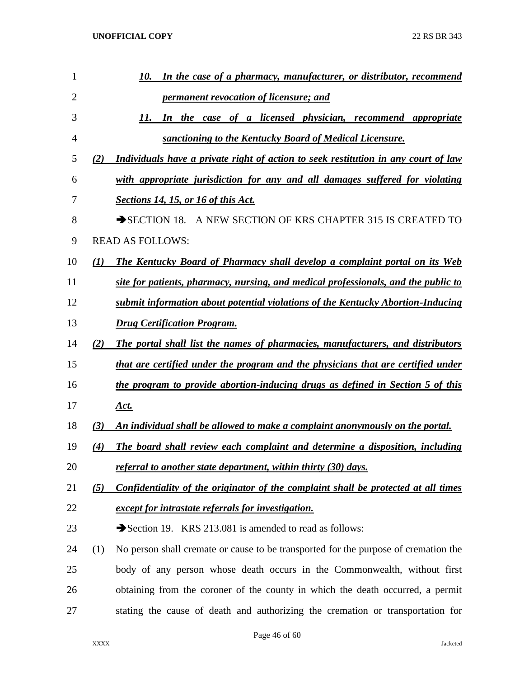| 1  |          | In the case of a pharmacy, manufacturer, or distributor, recommend<br>10.           |
|----|----------|-------------------------------------------------------------------------------------|
| 2  |          | <i>permanent revocation of licensure; and</i>                                       |
| 3  |          | 11.<br>In the case of a licensed physician, recommend appropriate                   |
| 4  |          | sanctioning to the Kentucky Board of Medical Licensure.                             |
| 5  | (2)      | Individuals have a private right of action to seek restitution in any court of law  |
| 6  |          | with appropriate jurisdiction for any and all damages suffered for violating        |
| 7  |          | <b>Sections 14, 15, or 16 of this Act.</b>                                          |
| 8  |          | SECTION 18. A NEW SECTION OF KRS CHAPTER 315 IS CREATED TO                          |
| 9  |          | <b>READ AS FOLLOWS:</b>                                                             |
| 10 | $\bf(1)$ | The Kentucky Board of Pharmacy shall develop a complaint portal on its Web          |
| 11 |          | site for patients, pharmacy, nursing, and medical professionals, and the public to  |
| 12 |          | submit information about potential violations of the Kentucky Abortion-Inducing     |
| 13 |          | <b>Drug Certification Program.</b>                                                  |
| 14 | (2)      | The portal shall list the names of pharmacies, manufacturers, and distributors      |
| 15 |          | that are certified under the program and the physicians that are certified under    |
| 16 |          | the program to provide abortion-inducing drugs as defined in Section 5 of this      |
| 17 |          | <u>Act.</u>                                                                         |
| 18 | (3)      | An individual shall be allowed to make a complaint anonymously on the portal.       |
| 19 | (4)      | The board shall review each complaint and determine a disposition, including        |
| 20 |          | referral to another state department, within thirty (30) days.                      |
| 21 | (5)      | Confidentiality of the originator of the complaint shall be protected at all times  |
| 22 |          | except for intrastate referrals for investigation.                                  |
| 23 |          | Section 19. KRS 213.081 is amended to read as follows:                              |
| 24 | (1)      | No person shall cremate or cause to be transported for the purpose of cremation the |
| 25 |          | body of any person whose death occurs in the Commonwealth, without first            |
| 26 |          | obtaining from the coroner of the county in which the death occurred, a permit      |
| 27 |          | stating the cause of death and authorizing the cremation or transportation for      |
|    |          |                                                                                     |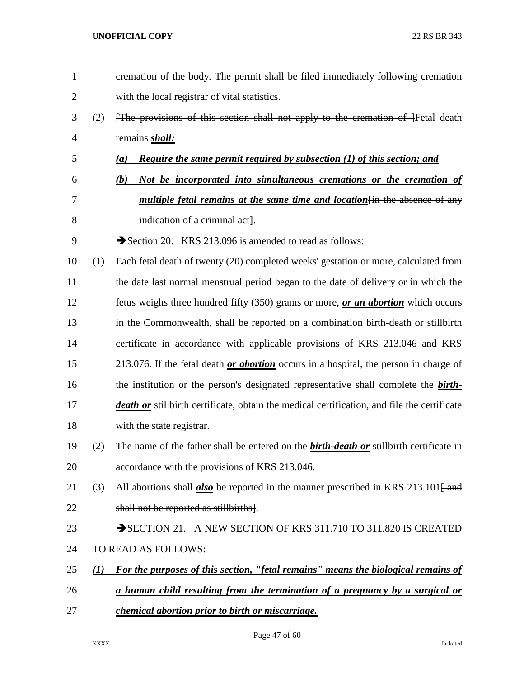cremation of the body. The permit shall be filed immediately following cremation with the local registrar of vital statistics. (2) [The provisions of this section shall not apply to the cremation of ]Fetal death remains *shall: (a) Require the same permit required by subsection (1) of this section; and (b) Not be incorporated into simultaneous cremations or the cremation of multiple fetal remains at the same time and location*[in the absence of any indication of a criminal act]. 9 Section 20. KRS 213.096 is amended to read as follows: (1) Each fetal death of twenty (20) completed weeks' gestation or more, calculated from the date last normal menstrual period began to the date of delivery or in which the fetus weighs three hundred fifty (350) grams or more, *or an abortion* which occurs in the Commonwealth, shall be reported on a combination birth-death or stillbirth certificate in accordance with applicable provisions of KRS 213.046 and KRS 213.076. If the fetal death *or abortion* occurs in a hospital, the person in charge of the institution or the person's designated representative shall complete the *birth- death or* stillbirth certificate, obtain the medical certification, and file the certificate with the state registrar. (2) The name of the father shall be entered on the *birth-death or* stillbirth certificate in accordance with the provisions of KRS 213.046. 21 (3) All abortions shall *also* be reported in the manner prescribed in KRS 213.101<del>[ and</del> shall not be reported as stillbirths]. 23 SECTION 21. A NEW SECTION OF KRS 311.710 TO 311.820 IS CREATED TO READ AS FOLLOWS: *(1) For the purposes of this section, "fetal remains" means the biological remains of a human child resulting from the termination of a pregnancy by a surgical or chemical abortion prior to birth or miscarriage.*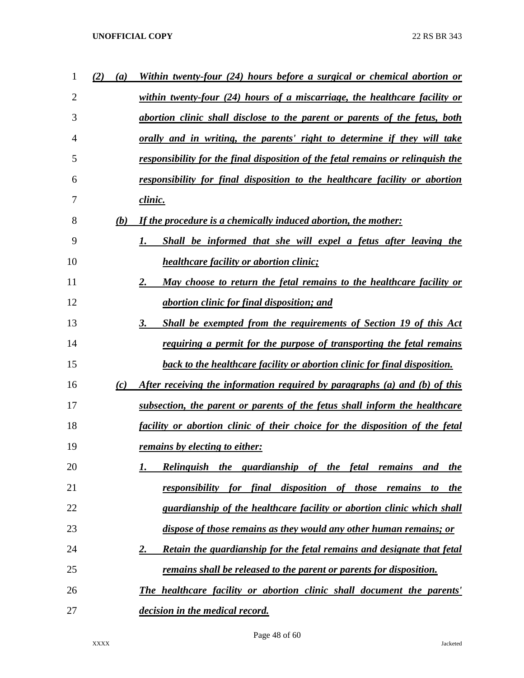| 1              | (2)<br>$\boldsymbol{a}$ | Within twenty-four (24) hours before a surgical or chemical abortion or          |
|----------------|-------------------------|----------------------------------------------------------------------------------|
| $\overline{2}$ |                         | within twenty-four (24) hours of a miscarriage, the healthcare facility or       |
| 3              |                         | abortion clinic shall disclose to the parent or parents of the fetus, both       |
| 4              |                         | orally and in writing, the parents' right to determine if they will take         |
| 5              |                         | responsibility for the final disposition of the fetal remains or relinguish the  |
| 6              |                         | responsibility for final disposition to the healthcare facility or abortion      |
| 7              |                         | clinic.                                                                          |
| 8              | (b)                     | If the procedure is a chemically induced abortion, the mother:                   |
| 9              |                         | Shall be informed that she will expel a fetus after leaving the<br>1.            |
| 10             |                         | <i>healthcare facility or abortion clinic;</i>                                   |
| 11             |                         | May choose to return the fetal remains to the healthcare facility or<br>2.       |
| 12             |                         | <i>abortion clinic for final disposition; and</i>                                |
| 13             |                         | Shall be exempted from the requirements of Section 19 of this Act<br>3.          |
| 14             |                         | requiring a permit for the purpose of transporting the fetal remains             |
| 15             |                         | <b>back to the healthcare facility or abortion clinic for final disposition.</b> |
| 16             | (c)                     | After receiving the information required by paragraphs (a) and (b) of this       |
| 17             |                         | subsection, the parent or parents of the fetus shall inform the healthcare       |
| 18             |                         | facility or abortion clinic of their choice for the disposition of the fetal     |
| 19             |                         | remains by electing to either:                                                   |
| 20             |                         | Relinguish the guardianship of the fetal remains<br>and<br><u>the</u>            |
| 21             |                         | for final disposition of those remains to<br>responsibility<br><u>the</u>        |
| 22             |                         | guardianship of the healthcare facility or abortion clinic which shall           |
| 23             |                         | dispose of those remains as they would any other human remains; or               |
| 24             |                         | Retain the guardianship for the fetal remains and designate that fetal<br>2.     |
| 25             |                         | <u>remains shall be released to the parent or parents for disposition.</u>       |
| 26             |                         | The healthcare facility or abortion clinic shall document the parents'           |
| 27             |                         | decision in the medical record.                                                  |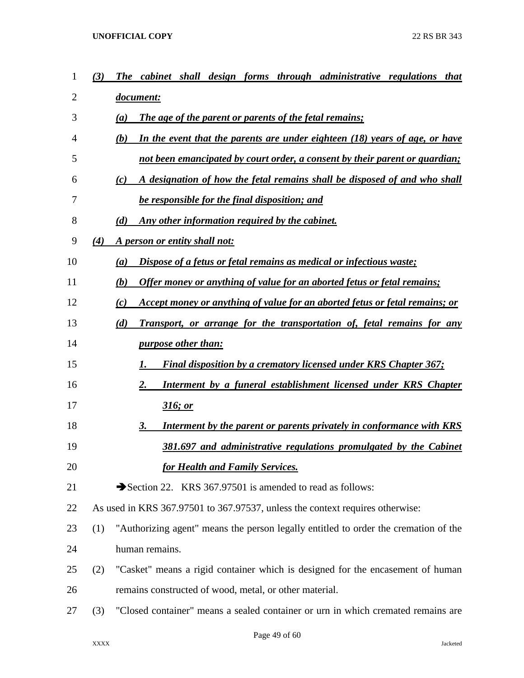| 1  | (3) | cabinet shall design forms through administrative regulations that<br><b>The</b>     |
|----|-----|--------------------------------------------------------------------------------------|
| 2  |     | document:                                                                            |
| 3  |     | <b>The age of the parent or parents of the fetal remains;</b><br>(a)                 |
| 4  |     | (b)<br>In the event that the parents are under eighteen (18) years of age, or have   |
| 5  |     | <u>not been emancipated by court order, a consent by their parent or guardian;</u>   |
| 6  |     | A designation of how the fetal remains shall be disposed of and who shall<br>(c)     |
| 7  |     | be responsible for the final disposition; and                                        |
| 8  |     | Any other information required by the cabinet.<br>(d)                                |
| 9  | (4) | A person or entity shall not:                                                        |
| 10 |     | Dispose of a fetus or fetal remains as medical or infectious waste;<br>(a)           |
| 11 |     | Offer money or anything of value for an aborted fetus or fetal remains;<br>(b)       |
| 12 |     | Accept money or anything of value for an aborted fetus or fetal remains; or<br>(c)   |
| 13 |     | (d)<br><b>Transport, or arrange for the transportation of, fetal remains for any</b> |
| 14 |     | <i>purpose other than:</i>                                                           |
| 15 |     | <b>Final disposition by a crematory licensed under KRS Chapter 367;</b><br>1.        |
| 16 |     | 2.<br>Interment by a funeral establishment licensed under KRS Chapter                |
| 17 |     | 316; or                                                                              |
| 18 |     | Interment by the parent or parents privately in conformance with KRS<br>3.           |
| 19 |     | 381.697 and administrative regulations promulgated by the Cabinet                    |
| 20 |     | <b>for Health and Family Services.</b>                                               |
| 21 |     | Section 22. KRS 367.97501 is amended to read as follows:                             |
| 22 |     | As used in KRS 367.97501 to 367.97537, unless the context requires otherwise:        |
| 23 | (1) | "Authorizing agent" means the person legally entitled to order the cremation of the  |
| 24 |     | human remains.                                                                       |
| 25 | (2) | "Casket" means a rigid container which is designed for the encasement of human       |
| 26 |     | remains constructed of wood, metal, or other material.                               |
| 27 | (3) | "Closed container" means a sealed container or urn in which cremated remains are     |
|    |     |                                                                                      |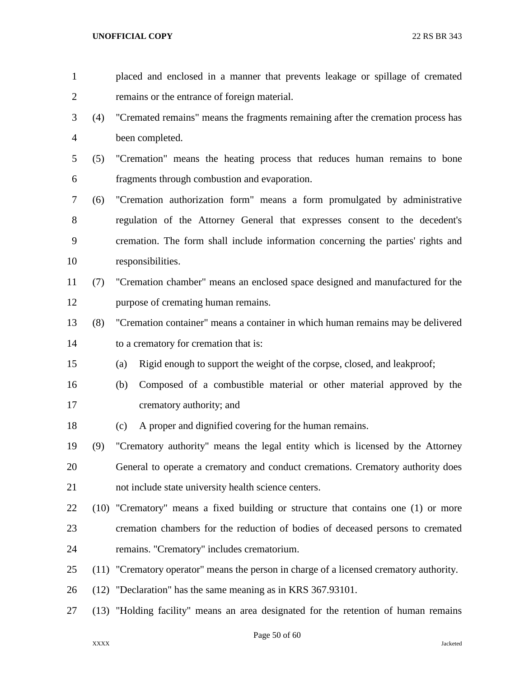placed and enclosed in a manner that prevents leakage or spillage of cremated remains or the entrance of foreign material. (4) "Cremated remains" means the fragments remaining after the cremation process has been completed. (5) "Cremation" means the heating process that reduces human remains to bone fragments through combustion and evaporation. (6) "Cremation authorization form" means a form promulgated by administrative regulation of the Attorney General that expresses consent to the decedent's cremation. The form shall include information concerning the parties' rights and responsibilities. (7) "Cremation chamber" means an enclosed space designed and manufactured for the purpose of cremating human remains. (8) "Cremation container" means a container in which human remains may be delivered to a crematory for cremation that is: (a) Rigid enough to support the weight of the corpse, closed, and leakproof; (b) Composed of a combustible material or other material approved by the crematory authority; and (c) A proper and dignified covering for the human remains. (9) "Crematory authority" means the legal entity which is licensed by the Attorney General to operate a crematory and conduct cremations. Crematory authority does not include state university health science centers. (10) "Crematory" means a fixed building or structure that contains one (1) or more cremation chambers for the reduction of bodies of deceased persons to cremated remains. "Crematory" includes crematorium. (11) "Crematory operator" means the person in charge of a licensed crematory authority. (12) "Declaration" has the same meaning as in KRS 367.93101. (13) "Holding facility" means an area designated for the retention of human remains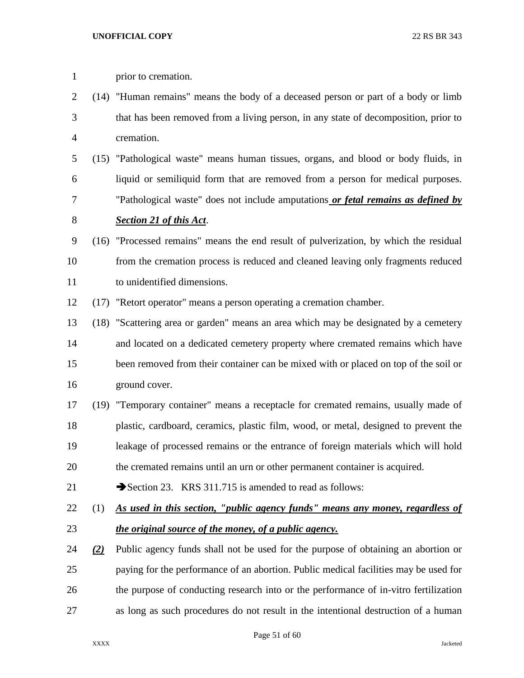| $\mathbf{1}$   |     | prior to cremation.                                                                   |
|----------------|-----|---------------------------------------------------------------------------------------|
| $\overline{2}$ |     | (14) "Human remains" means the body of a deceased person or part of a body or limb    |
| 3              |     | that has been removed from a living person, in any state of decomposition, prior to   |
| $\overline{4}$ |     | cremation.                                                                            |
| 5              |     | (15) "Pathological waste" means human tissues, organs, and blood or body fluids, in   |
| 6              |     | liquid or semiliquid form that are removed from a person for medical purposes.        |
| 7              |     | "Pathological waste" does not include amputations or fetal remains as defined by      |
| 8              |     | <b>Section 21 of this Act.</b>                                                        |
| $\mathbf{9}$   |     | (16) "Processed remains" means the end result of pulverization, by which the residual |
| 10             |     | from the cremation process is reduced and cleaned leaving only fragments reduced      |
| 11             |     | to unidentified dimensions.                                                           |
| 12             |     | (17) "Retort operator" means a person operating a cremation chamber.                  |
| 13             |     | (18) "Scattering area or garden" means an area which may be designated by a cemetery  |
| 14             |     | and located on a dedicated cemetery property where cremated remains which have        |
| 15             |     | been removed from their container can be mixed with or placed on top of the soil or   |
| 16             |     | ground cover.                                                                         |
| 17             |     | (19) "Temporary container" means a receptacle for cremated remains, usually made of   |
| 18             |     | plastic, cardboard, ceramics, plastic film, wood, or metal, designed to prevent the   |
| 19             |     | leakage of processed remains or the entrance of foreign materials which will hold     |
| 20             |     | the cremated remains until an urn or other permanent container is acquired.           |
| 21             |     | Section 23. KRS 311.715 is amended to read as follows:                                |
| 22             | (1) | As used in this section, "public agency funds" means any money, regardless of         |
| 23             |     | the original source of the money, of a public agency.                                 |
| 24             | (2) | Public agency funds shall not be used for the purpose of obtaining an abortion or     |
| 25             |     | paying for the performance of an abortion. Public medical facilities may be used for  |
| 26             |     | the purpose of conducting research into or the performance of in-vitro fertilization  |
| 27             |     | as long as such procedures do not result in the intentional destruction of a human    |

Page 51 of 60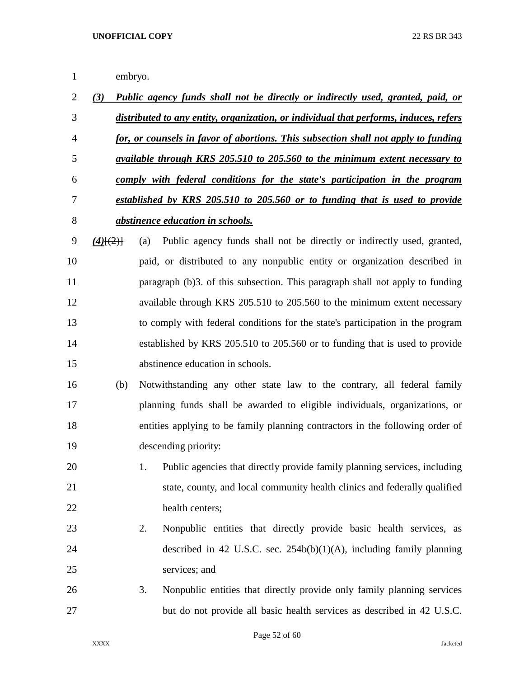embryo.

| $\overline{2}$ | (3)         | Public agency funds shall not be directly or indirectly used, granted, paid, or       |
|----------------|-------------|---------------------------------------------------------------------------------------|
| 3              |             | distributed to any entity, organization, or individual that performs, induces, refers |
| 4              |             | for, or counsels in favor of abortions. This subsection shall not apply to funding    |
| 5              |             | available through KRS 205.510 to 205.560 to the minimum extent necessary to           |
| 6              |             | comply with federal conditions for the state's participation in the program           |
| 7              |             | established by KRS 205.510 to 205.560 or to funding that is used to provide           |
| 8              |             | <i>abstinence education in schools.</i>                                               |
| 9              | $(4)$ [(2)] | Public agency funds shall not be directly or indirectly used, granted,<br>(a)         |
| 10             |             | paid, or distributed to any nonpublic entity or organization described in             |
| 11             |             | paragraph (b)3. of this subsection. This paragraph shall not apply to funding         |
| 12             |             | available through KRS 205.510 to 205.560 to the minimum extent necessary              |
| 13             |             | to comply with federal conditions for the state's participation in the program        |
| 14             |             | established by KRS 205.510 to 205.560 or to funding that is used to provide           |
| 15             |             | abstinence education in schools.                                                      |
| 16             | (b)         | Notwithstanding any other state law to the contrary, all federal family               |
| 17             |             | planning funds shall be awarded to eligible individuals, organizations, or            |
| 18             |             | entities applying to be family planning contractors in the following order of         |
| 19             |             | descending priority:                                                                  |
| 20             |             | Public agencies that directly provide family planning services, including<br>1.       |
| 21             |             | state, county, and local community health clinics and federally qualified             |
| 22             |             | health centers;                                                                       |
| 23             |             | 2.<br>Nonpublic entities that directly provide basic health services, as              |
| 24             |             | described in 42 U.S.C. sec. $254b(b)(1)(A)$ , including family planning               |
| 25             |             | services; and                                                                         |
| 26             |             | Nonpublic entities that directly provide only family planning services<br>3.          |
| 27             |             | but do not provide all basic health services as described in 42 U.S.C.                |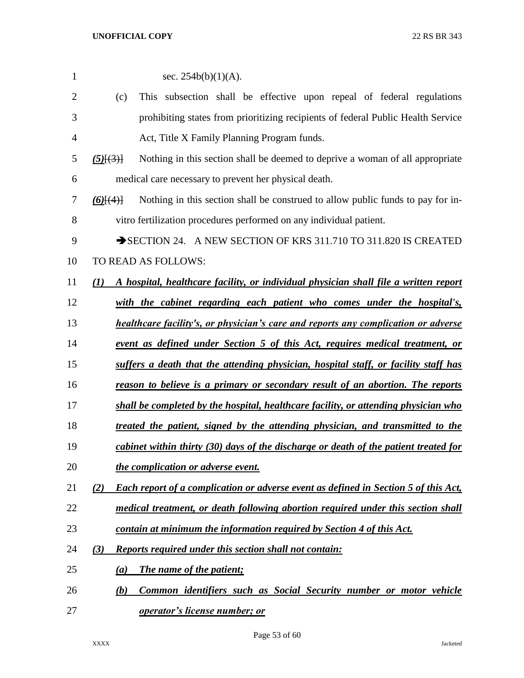| 1              | sec. $254b(b)(1)(A)$ .                                                                            |
|----------------|---------------------------------------------------------------------------------------------------|
| $\overline{2}$ | This subsection shall be effective upon repeal of federal regulations<br>(c)                      |
| 3              | prohibiting states from prioritizing recipients of federal Public Health Service                  |
| 4              | Act, Title X Family Planning Program funds.                                                       |
| 5              | Nothing in this section shall be deemed to deprive a woman of all appropriate<br>$(5)$ $(3)$      |
| 6              | medical care necessary to prevent her physical death.                                             |
| 7              | Nothing in this section shall be construed to allow public funds to pay for in-<br>$(6)$ $(4)$    |
| 8              | vitro fertilization procedures performed on any individual patient.                               |
| 9              | SECTION 24. A NEW SECTION OF KRS 311.710 TO 311.820 IS CREATED                                    |
| 10             | TO READ AS FOLLOWS:                                                                               |
| 11             | A hospital, healthcare facility, or individual physician shall file a written report<br>(1)       |
| 12             | with the cabinet regarding each patient who comes under the hospital's,                           |
| 13             | <b>healthcare facility's, or physician's care and reports any complication or adverse</b>         |
| 14             | <u>event as defined under Section 5 of this Act, requires medical treatment, or</u>               |
| 15             | suffers a death that the attending physician, hospital staff, or facility staff has               |
| 16             | reason to believe is a primary or secondary result of an abortion. The reports                    |
| 17             | shall be completed by the hospital, healthcare facility, or attending physician who               |
| 18             | treated the patient, signed by the attending physician, and transmitted to the                    |
| 19             | cabinet within thirty (30) days of the discharge or death of the patient treated for              |
| 20             | the complication or adverse event.                                                                |
| 21             | (2)<br><b>Each report of a complication or adverse event as defined in Section 5 of this Act,</b> |
| 22             | medical treatment, or death following abortion required under this section shall                  |
| 23             | contain at minimum the information required by Section 4 of this Act.                             |
| 24             | (3)<br><b>Reports required under this section shall not contain:</b>                              |
| 25             | <b>The name of the patient;</b><br>(a)                                                            |
| 26             | Common identifiers such as Social Security number or motor vehicle<br>(b)                         |
| 27             | <b>operator's license number; or</b>                                                              |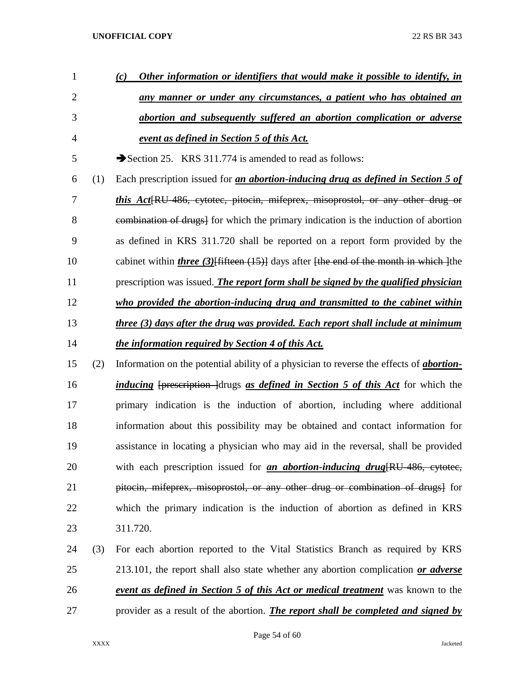| $\mathbf{1}$   |     | Other information or identifiers that would make it possible to identify, in<br>(c)             |
|----------------|-----|-------------------------------------------------------------------------------------------------|
| $\overline{2}$ |     | any manner or under any circumstances, a patient who has obtained an                            |
| 3              |     | abortion and subsequently suffered an abortion complication or adverse                          |
| $\overline{4}$ |     | event as defined in Section 5 of this Act.                                                      |
| 5              |     | Section 25. KRS 311.774 is amended to read as follows:                                          |
| 6              | (1) | Each prescription issued for <i>an abortion-inducing drug as defined in Section 5 of</i>        |
| 7              |     | this Act[RU-486, cytotec, pitocin, mifeprex, misoprostol, or any other drug or                  |
| 8              |     | eombination of drugs] for which the primary indication is the induction of abortion             |
| 9              |     | as defined in KRS 311.720 shall be reported on a report form provided by the                    |
| 10             |     | cabinet within <i>three</i> (3) Hifteen (15) days after the end of the month in which the       |
| 11             |     | prescription was issued. The report form shall be signed by the qualified physician             |
| 12             |     | who provided the abortion-inducing drug and transmitted to the cabinet within                   |
| 13             |     | three (3) days after the drug was provided. Each report shall include at minimum                |
| 14             |     | the information required by Section 4 of this Act.                                              |
| 15             | (2) | Information on the potential ability of a physician to reverse the effects of <i>abortion</i> - |
| 16             |     | <i>inducing</i> [prescription ] drugs as <i>defined in Section 5 of this Act</i> for which the  |
| 17             |     | primary indication is the induction of abortion, including where additional                     |
| 18             |     | information about this possibility may be obtained and contact information for                  |
| 19             |     | assistance in locating a physician who may aid in the reversal, shall be provided               |
| 20             |     | with each prescription issued for <i>an abortion-inducing drug</i> [RU-486, cytotec,            |
| 21             |     | pitocin, mifeprex, misoprostol, or any other drug or combination of drugs for                   |
| 22             |     | which the primary indication is the induction of abortion as defined in KRS                     |
| 23             |     | 311.720.                                                                                        |
| 24             | (3) | For each abortion reported to the Vital Statistics Branch as required by KRS                    |
| 25             |     | 213.101, the report shall also state whether any abortion complication or adverse               |
| 26             |     | <b>event as defined in Section 5 of this Act or medical treatment</b> was known to the          |
| 27             |     | provider as a result of the abortion. <i>The report shall be completed and signed by</i>        |

Page 54 of 60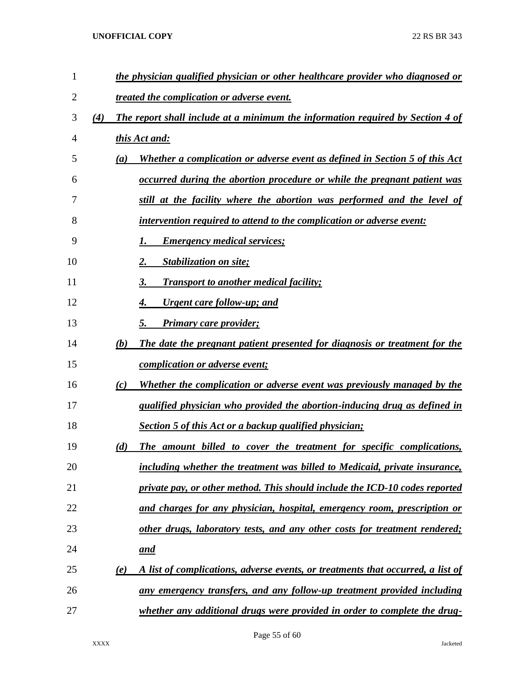| 1  |     |     | the physician qualified physician or other healthcare provider who diagnosed or |
|----|-----|-----|---------------------------------------------------------------------------------|
| 2  |     |     | <i><u>treated the complication or adverse event.</u></i>                        |
| 3  | (4) |     | The report shall include at a minimum the information required by Section 4 of  |
| 4  |     |     | this Act and:                                                                   |
| 5  |     | (a) | Whether a complication or adverse event as defined in Section 5 of this Act     |
| 6  |     |     | occurred during the abortion procedure or while the pregnant patient was        |
| 7  |     |     | still at the facility where the abortion was performed and the level of         |
| 8  |     |     | intervention required to attend to the complication or adverse event:           |
| 9  |     |     | <b>Emergency medical services;</b>                                              |
| 10 |     |     | <b>Stabilization on site;</b><br>2.                                             |
| 11 |     |     | <b>Transport to another medical facility;</b><br>3.                             |
| 12 |     |     | <u><b>Urgent care follow-up; and</b></u><br>4.                                  |
| 13 |     |     | 5.<br><b>Primary care provider;</b>                                             |
| 14 |     | (b) | The date the pregnant patient presented for diagnosis or treatment for the      |
| 15 |     |     | <i>complication or adverse event;</i>                                           |
| 16 |     | (c) | Whether the complication or adverse event was previously managed by the         |
| 17 |     |     | qualified physician who provided the abortion-inducing drug as defined in       |
| 18 |     |     | <b>Section 5 of this Act or a backup qualified physician;</b>                   |
| 19 |     | (d) | The amount billed to cover the treatment for specific complications,            |
| 20 |     |     | including whether the treatment was billed to Medicaid, private insurance,      |
| 21 |     |     | private pay, or other method. This should include the ICD-10 codes reported     |
| 22 |     |     | and charges for any physician, hospital, emergency room, prescription or        |
| 23 |     |     | other drugs, laboratory tests, and any other costs for treatment rendered;      |
| 24 |     |     | <u>and</u>                                                                      |
| 25 |     | (e) | A list of complications, adverse events, or treatments that occurred, a list of |
| 26 |     |     | <u>any emergency transfers, and any follow-up treatment provided including</u>  |
| 27 |     |     | whether any additional drugs were provided in order to complete the drug-       |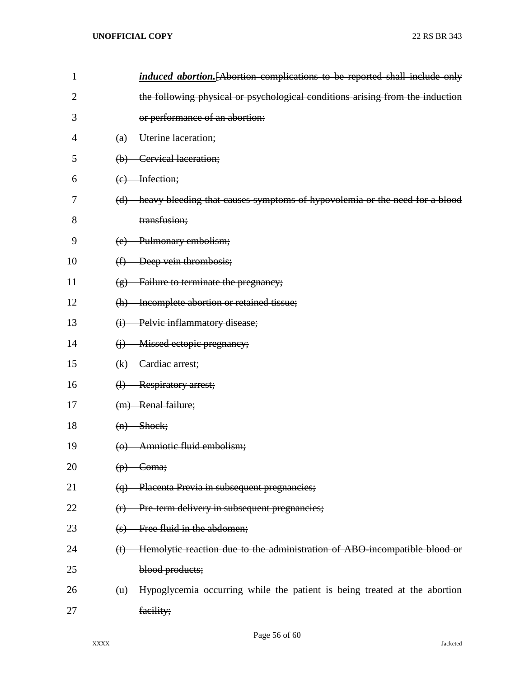| $\mathbf{1}$   | induced abortion. [Abortion complications to be reported shall include only                 |
|----------------|---------------------------------------------------------------------------------------------|
| $\overline{2}$ | the following physical or psychological conditions arising from the induction               |
| 3              | or performance of an abortion:                                                              |
| 4              | Uterine laceration;<br>$\left( a\right)$                                                    |
| 5              | (b) Cervical laceration;                                                                    |
| 6              | $(e)$ Infection;                                                                            |
| 7              | (d) heavy bleeding that causes symptoms of hypovolemia or the need for a blood              |
| 8              | transfusion;                                                                                |
| 9              | (e) Pulmonary embolism;                                                                     |
| 10             | Deep vein thrombosis;<br>$\bigoplus$                                                        |
| 11             | Failure to terminate the pregnancy;<br>$\circledast$                                        |
| 12             | (h) Incomplete abortion or retained tissue;                                                 |
| 13             | Pelvic inflammatory disease;<br>$\bigoplus$                                                 |
| 14             | Missed ectopic pregnancy;<br>$\bigoplus$                                                    |
| 15             | $(k)$ Cardiac arrest;                                                                       |
| 16             | (1) Respiratory arrest;                                                                     |
| 17             | (m) Renal failure;                                                                          |
| 18             | $(n)$ Shock;                                                                                |
| 19             | (o) Amniotic fluid embolism;                                                                |
| 20             | $(p)$ Coma;                                                                                 |
| 21             | Placenta Previa in subsequent pregnancies;<br>$\Theta$                                      |
| 22             | Pre-term delivery in subsequent pregnancies;<br>(r)                                         |
| 23             | Free fluid in the abdomen;<br>$\left( s\right)$                                             |
| 24             | Hemolytic reaction due to the administration of ABO-incompatible blood or<br>$(t)$          |
| 25             | blood products;                                                                             |
| 26             | Hypoglycemia occurring while the patient is being treated at the abortion<br>$(\mathbf{u})$ |
| 27             | facility;                                                                                   |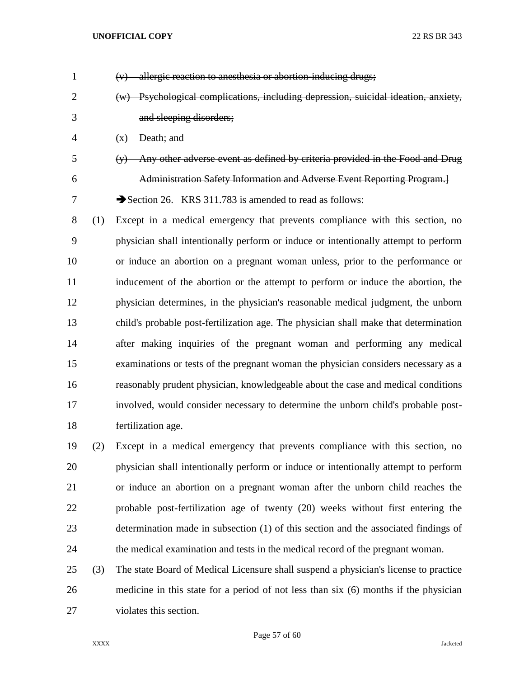| $\mathbf{1}$   |     | $(v)$ allergic reaction to anesthesia or abortion-inducing drugs;                    |
|----------------|-----|--------------------------------------------------------------------------------------|
| $\overline{2}$ |     | (w) Psychological complications, including depression, suicidal ideation, anxiety,   |
| 3              |     | and sleeping disorders;                                                              |
| 4              |     | $(x)$ Death; and                                                                     |
| 5              |     | (y) Any other adverse event as defined by criteria provided in the Food and Drug     |
| 6              |     | Administration Safety Information and Adverse Event Reporting Program.]              |
| 7              |     | Section 26. KRS 311.783 is amended to read as follows:                               |
| 8              | (1) | Except in a medical emergency that prevents compliance with this section, no         |
| 9              |     | physician shall intentionally perform or induce or intentionally attempt to perform  |
| 10             |     | or induce an abortion on a pregnant woman unless, prior to the performance or        |
| 11             |     | inducement of the abortion or the attempt to perform or induce the abortion, the     |
| 12             |     | physician determines, in the physician's reasonable medical judgment, the unborn     |
| 13             |     | child's probable post-fertilization age. The physician shall make that determination |
| 14             |     | after making inquiries of the pregnant woman and performing any medical              |
| 15             |     | examinations or tests of the pregnant woman the physician considers necessary as a   |
| 16             |     | reasonably prudent physician, knowledgeable about the case and medical conditions    |
| 17             |     | involved, would consider necessary to determine the unborn child's probable post-    |
| 18             |     | fertilization age.                                                                   |
| 19             | (2) | Except in a medical emergency that prevents compliance with this section, no         |
| 20             |     | physician shall intentionally perform or induce or intentionally attempt to perform  |
| 21             |     | or induce an abortion on a pregnant woman after the unborn child reaches the         |
| 22             |     | probable post-fertilization age of twenty (20) weeks without first entering the      |
| 23             |     | determination made in subsection (1) of this section and the associated findings of  |
| 24             |     | the medical examination and tests in the medical record of the pregnant woman.       |
| 25             | (3) | The state Board of Medical Licensure shall suspend a physician's license to practice |
| 26             |     | medicine in this state for a period of not less than six (6) months if the physician |

violates this section.

Page 57 of 60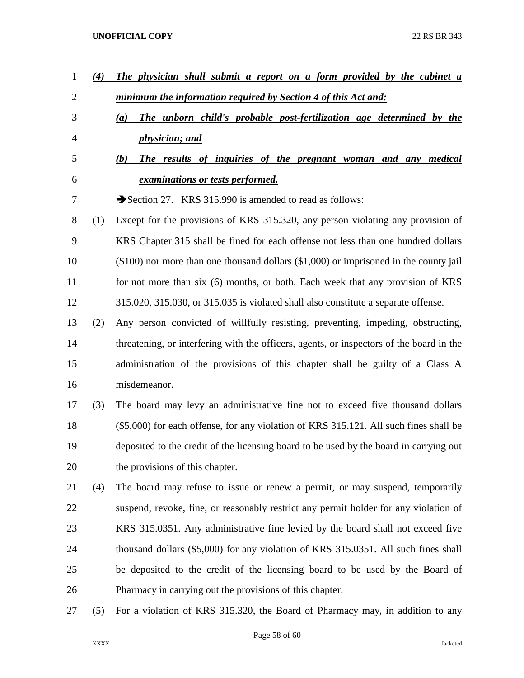| $\mathbf{1}$   | (4) | The physician shall submit a report on a form provided by the cabinet a                   |
|----------------|-----|-------------------------------------------------------------------------------------------|
| $\overline{2}$ |     | <u>minimum the information required by Section 4 of this Act and:</u>                     |
| 3              |     | The unborn child's probable post-fertilization age determined by the<br>(a)               |
| 4              |     | <i>physician; and</i>                                                                     |
| 5              |     | The results of inquiries of the pregnant woman and any medical<br><b>(b)</b>              |
| 6              |     | <i>examinations or tests performed.</i>                                                   |
| 7              |     | Section 27. KRS 315.990 is amended to read as follows:                                    |
| 8              | (1) | Except for the provisions of KRS 315.320, any person violating any provision of           |
| 9              |     | KRS Chapter 315 shall be fined for each offense not less than one hundred dollars         |
| 10             |     | $(\$100)$ nor more than one thousand dollars $(\$1,000)$ or imprisoned in the county jail |
| 11             |     | for not more than six (6) months, or both. Each week that any provision of KRS            |
| 12             |     | 315.020, 315.030, or 315.035 is violated shall also constitute a separate offense.        |
| 13             | (2) | Any person convicted of willfully resisting, preventing, impeding, obstructing,           |
| 14             |     | threatening, or interfering with the officers, agents, or inspectors of the board in the  |
| 15             |     | administration of the provisions of this chapter shall be guilty of a Class A             |
| 16             |     | misdemeanor.                                                                              |
| 17             | (3) | The board may levy an administrative fine not to exceed five thousand dollars             |
| 18             |     | (\$5,000) for each offense, for any violation of KRS 315.121. All such fines shall be     |
| 19             |     | deposited to the credit of the licensing board to be used by the board in carrying out    |
| 20             |     | the provisions of this chapter.                                                           |
| 21             | (4) | The board may refuse to issue or renew a permit, or may suspend, temporarily              |
| 22             |     | suspend, revoke, fine, or reasonably restrict any permit holder for any violation of      |
| 23             |     | KRS 315.0351. Any administrative fine levied by the board shall not exceed five           |
| 24             |     | thousand dollars (\$5,000) for any violation of KRS 315.0351. All such fines shall        |
| 25             |     | be deposited to the credit of the licensing board to be used by the Board of              |
| 26             |     | Pharmacy in carrying out the provisions of this chapter.                                  |
| 27             | (5) | For a violation of KRS 315.320, the Board of Pharmacy may, in addition to any             |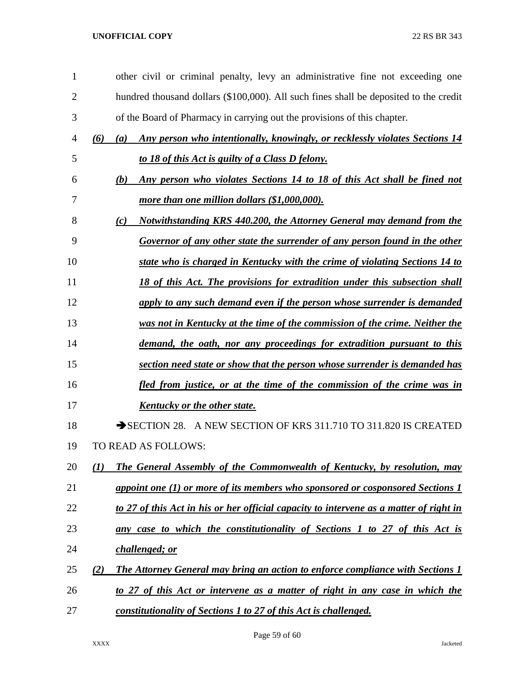| $\mathbf{1}$   | other civil or criminal penalty, levy an administrative fine not exceeding one               |
|----------------|----------------------------------------------------------------------------------------------|
| $\overline{2}$ | hundred thousand dollars (\$100,000). All such fines shall be deposited to the credit        |
| 3              | of the Board of Pharmacy in carrying out the provisions of this chapter.                     |
| 4              | Any person who intentionally, knowingly, or recklessly violates Sections 14<br>(6)<br>(a)    |
| 5              | to 18 of this Act is guilty of a Class D felony.                                             |
| 6              | Any person who violates Sections 14 to 18 of this Act shall be fined not<br>(b)              |
| 7              | more than one million dollars (\$1,000,000).                                                 |
| 8              | <b>Notwithstanding KRS 440.200, the Attorney General may demand from the</b><br>(c)          |
| 9              | Governor of any other state the surrender of any person found in the other                   |
| 10             | state who is charged in Kentucky with the crime of violating Sections 14 to                  |
| 11             | 18 of this Act. The provisions for extradition under this subsection shall                   |
| 12             | apply to any such demand even if the person whose surrender is demanded                      |
| 13             | was not in Kentucky at the time of the commission of the crime. Neither the                  |
| 14             | demand, the oath, nor any proceedings for extradition pursuant to this                       |
| 15             | section need state or show that the person whose surrender is demanded has                   |
| 16             | <u>fled from justice, or at the time of the commission of the crime was in</u>               |
| 17             | <u>Kentucky or the other state.</u>                                                          |
| 18             | SECTION 28. A NEW SECTION OF KRS 311.710 TO 311.820 IS CREATED                               |
| 19             | TO READ AS FOLLOWS:                                                                          |
| 20             | <b>The General Assembly of the Commonwealth of Kentucky, by resolution, may</b><br>(1)       |
| 21             | <u>appoint one (1) or more of its members who sponsored or cosponsored Sections 1</u>        |
| 22             | to 27 of this Act in his or her official capacity to intervene as a matter of right in       |
| 23             | any case to which the constitutionality of Sections 1 to 27 of this Act is                   |
| 24             | challenged; or                                                                               |
| 25             | (2)<br><b>The Attorney General may bring an action to enforce compliance with Sections 1</b> |
| 26             | to 27 of this Act or intervene as a matter of right in any case in which the                 |
| 27             | constitutionality of Sections 1 to 27 of this Act is challenged.                             |